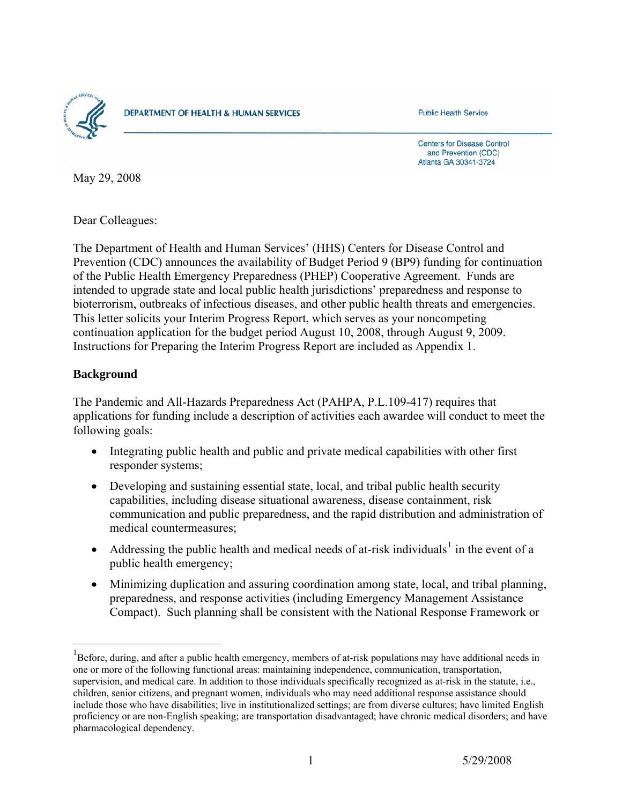

**DEPARTMENT OF HEALTH & HUMAN SERVICES** 

**Public Health Service** 

**Centers for Disease Control** and Prevention (CDC) Atlanta GA 30341-3724

May 29, 2008

Dear Colleagues:

The Department of Health and Human Services' (HHS) Centers for Disease Control and Prevention (CDC) announces the availability of Budget Period 9 (BP9) funding for continuation of the Public Health Emergency Preparedness (PHEP) Cooperative Agreement. Funds are intended to upgrade state and local public health jurisdictions' preparedness and response to bioterrorism, outbreaks of infectious diseases, and other public health threats and emergencies. This letter solicits your Interim Progress Report, which serves as your noncompeting continuation application for the budget period August 10, 2008, through August 9, 2009. Instructions for Preparing the Interim Progress Report are included as Appendix 1.

## **Background**

 $\overline{a}$ 

The Pandemic and All-Hazards Preparedness Act (PAHPA, P.L.109-417) requires that applications for funding include a description of activities each awardee will conduct to meet the following goals:

- Integrating public health and public and private medical capabilities with other first responder systems;
- Developing and sustaining essential state, local, and tribal public health security capabilities, including disease situational awareness, disease containment, risk communication and public preparedness, and the rapid distribution and administration of medical countermeasures;
- Addressing the public health and medical needs of at-risk individuals<sup>[1](#page-0-0)</sup> in the event of a public health emergency;
- Minimizing duplication and assuring coordination among state, local, and tribal planning, preparedness, and response activities (including Emergency Management Assistance Compact). Such planning shall be consistent with the National Response Framework or

<span id="page-0-0"></span><sup>&</sup>lt;sup>1</sup>Before, during, and after a public health emergency, members of at-risk populations may have additional needs in one or more of the following functional areas: maintaining independence, communication, transportation, supervision, and medical care. In addition to those individuals specifically recognized as at-risk in the statute, i.e., children, senior citizens, and pregnant women, individuals who may need additional response assistance should include those who have disabilities; live in institutionalized settings; are from diverse cultures; have limited English proficiency or are non-English speaking; are transportation disadvantaged; have chronic medical disorders; and have pharmacological dependency.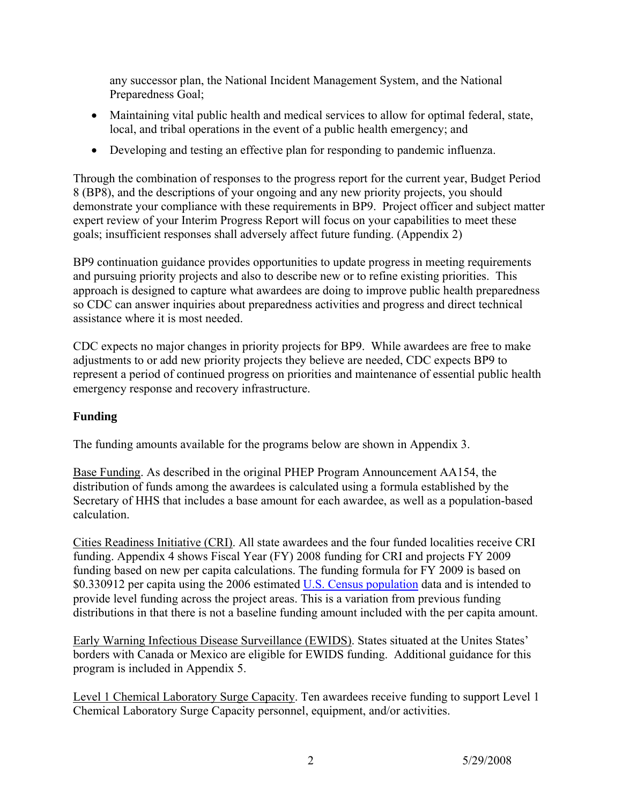any successor plan, the National Incident Management System, and the National Preparedness Goal;

- Maintaining vital public health and medical services to allow for optimal federal, state, local, and tribal operations in the event of a public health emergency; and
- Developing and testing an effective plan for responding to pandemic influenza.

Through the combination of responses to the progress report for the current year, Budget Period 8 (BP8), and the descriptions of your ongoing and any new priority projects, you should demonstrate your compliance with these requirements in BP9. Project officer and subject matter expert review of your Interim Progress Report will focus on your capabilities to meet these goals; insufficient responses shall adversely affect future funding. (Appendix 2)

BP9 continuation guidance provides opportunities to update progress in meeting requirements and pursuing priority projects and also to describe new or to refine existing priorities. This approach is designed to capture what awardees are doing to improve public health preparedness so CDC can answer inquiries about preparedness activities and progress and direct technical assistance where it is most needed.

CDC expects no major changes in priority projects for BP9. While awardees are free to make adjustments to or add new priority projects they believe are needed, CDC expects BP9 to represent a period of continued progress on priorities and maintenance of essential public health emergency response and recovery infrastructure.

## **Funding**

The funding amounts available for the programs below are shown in Appendix 3.

Base Funding. As described in the original PHEP Program Announcement AA154, the distribution of funds among the awardees is calculated using a formula established by the Secretary of HHS that includes a base amount for each awardee, as well as a population-based calculation.

Cities Readiness Initiative (CRI). All state awardees and the four funded localities receive CRI funding. Appendix 4 shows Fiscal Year (FY) 2008 funding for CRI and projects FY 2009 funding based on new per capita calculations. The funding formula for FY 2009 is based on \$0.330912 per capita using the 2006 estimated [U.S. Census population](http://emergency.cdc.gov/) data and is intended to provide level funding across the project areas. This is a variation from previous funding distributions in that there is not a baseline funding amount included with the per capita amount.

Early Warning Infectious Disease Surveillance (EWIDS). States situated at the Unites States' borders with Canada or Mexico are eligible for EWIDS funding. Additional guidance for this program is included in Appendix 5.

Level 1 Chemical Laboratory Surge Capacity. Ten awardees receive funding to support Level 1 Chemical Laboratory Surge Capacity personnel, equipment, and/or activities.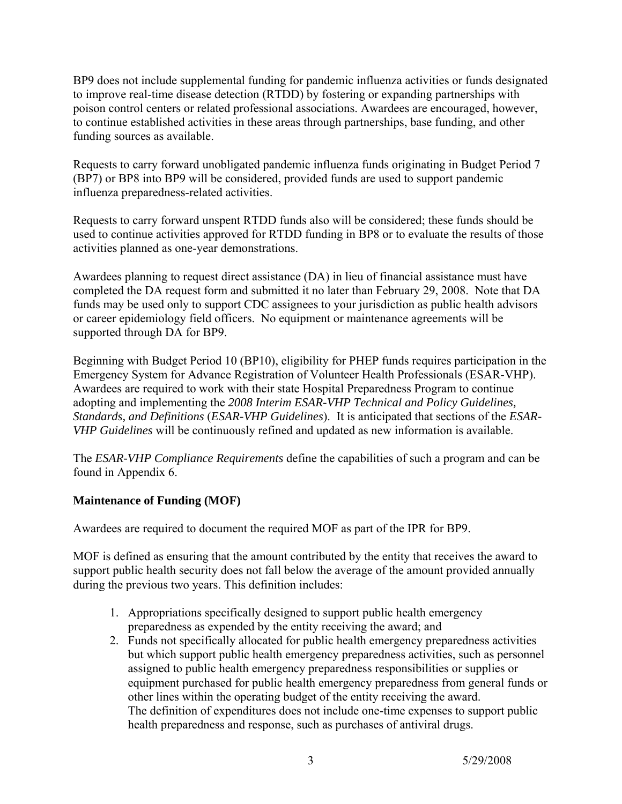BP9 does not include supplemental funding for pandemic influenza activities or funds designated to improve real-time disease detection (RTDD) by fostering or expanding partnerships with poison control centers or related professional associations. Awardees are encouraged, however, to continue established activities in these areas through partnerships, base funding, and other funding sources as available.

Requests to carry forward unobligated pandemic influenza funds originating in Budget Period 7 (BP7) or BP8 into BP9 will be considered, provided funds are used to support pandemic influenza preparedness-related activities.

Requests to carry forward unspent RTDD funds also will be considered; these funds should be used to continue activities approved for RTDD funding in BP8 or to evaluate the results of those activities planned as one-year demonstrations.

Awardees planning to request direct assistance (DA) in lieu of financial assistance must have completed the DA request form and submitted it no later than February 29, 2008. Note that DA funds may be used only to support CDC assignees to your jurisdiction as public health advisors or career epidemiology field officers. No equipment or maintenance agreements will be supported through DA for BP9.

Beginning with Budget Period 10 (BP10), eligibility for PHEP funds requires participation in the Emergency System for Advance Registration of Volunteer Health Professionals (ESAR-VHP). Awardees are required to work with their state Hospital Preparedness Program to continue adopting and implementing the *2008 Interim ESAR-VHP Technical and Policy Guidelines, Standards, and Definitions* (*ESAR-VHP Guidelines*). It is anticipated that sections of the *ESAR-VHP Guidelines* will be continuously refined and updated as new information is available.

The *ESAR-VHP Compliance Requirements* define the capabilities of such a program and can be found in Appendix 6.

# **Maintenance of Funding (MOF)**

Awardees are required to document the required MOF as part of the IPR for BP9.

MOF is defined as ensuring that the amount contributed by the entity that receives the award to support public health security does not fall below the average of the amount provided annually during the previous two years. This definition includes:

- 1. Appropriations specifically designed to support public health emergency preparedness as expended by the entity receiving the award; and
- 2. Funds not specifically allocated for public health emergency preparedness activities but which support public health emergency preparedness activities, such as personnel assigned to public health emergency preparedness responsibilities or supplies or equipment purchased for public health emergency preparedness from general funds or other lines within the operating budget of the entity receiving the award. The definition of expenditures does not include one-time expenses to support public health preparedness and response, such as purchases of antiviral drugs.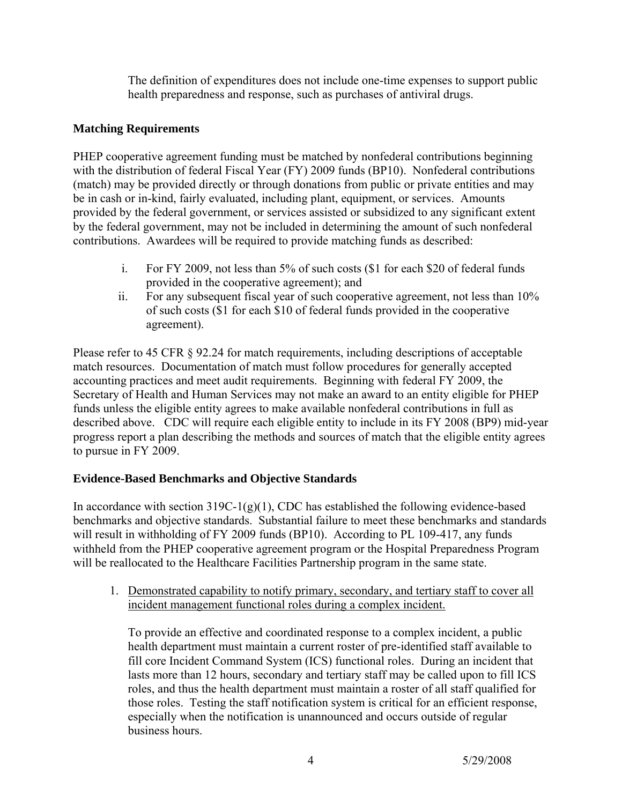The definition of expenditures does not include one-time expenses to support public health preparedness and response, such as purchases of antiviral drugs.

## **Matching Requirements**

PHEP cooperative agreement funding must be matched by nonfederal contributions beginning with the distribution of federal Fiscal Year (FY) 2009 funds (BP10). Nonfederal contributions (match) may be provided directly or through donations from public or private entities and may be in cash or in-kind, fairly evaluated, including plant, equipment, or services. Amounts provided by the federal government, or services assisted or subsidized to any significant extent by the federal government, may not be included in determining the amount of such nonfederal contributions. Awardees will be required to provide matching funds as described:

- i. For FY 2009, not less than 5% of such costs (\$1 for each \$20 of federal funds provided in the cooperative agreement); and
- ii. For any subsequent fiscal year of such cooperative agreement, not less than 10% of such costs (\$1 for each \$10 of federal funds provided in the cooperative agreement).

Please refer to 45 CFR  $\S$  92.24 for match requirements, including descriptions of acceptable match resources. Documentation of match must follow procedures for generally accepted accounting practices and meet audit requirements. Beginning with federal FY 2009, the Secretary of Health and Human Services may not make an award to an entity eligible for PHEP funds unless the eligible entity agrees to make available nonfederal contributions in full as described above. CDC will require each eligible entity to include in its FY 2008 (BP9) mid-year progress report a plan describing the methods and sources of match that the eligible entity agrees to pursue in FY 2009.

# **Evidence-Based Benchmarks and Objective Standards**

In accordance with section  $319C-1(g)(1)$ , CDC has established the following evidence-based benchmarks and objective standards. Substantial failure to meet these benchmarks and standards will result in withholding of FY 2009 funds (BP10). According to PL 109-417, any funds withheld from the PHEP cooperative agreement program or the Hospital Preparedness Program will be reallocated to the Healthcare Facilities Partnership program in the same state.

1. Demonstrated capability to notify primary, secondary, and tertiary staff to cover all incident management functional roles during a complex incident.

To provide an effective and coordinated response to a complex incident, a public health department must maintain a current roster of pre-identified staff available to fill core Incident Command System (ICS) functional roles. During an incident that lasts more than 12 hours, secondary and tertiary staff may be called upon to fill ICS roles, and thus the health department must maintain a roster of all staff qualified for those roles. Testing the staff notification system is critical for an efficient response, especially when the notification is unannounced and occurs outside of regular business hours.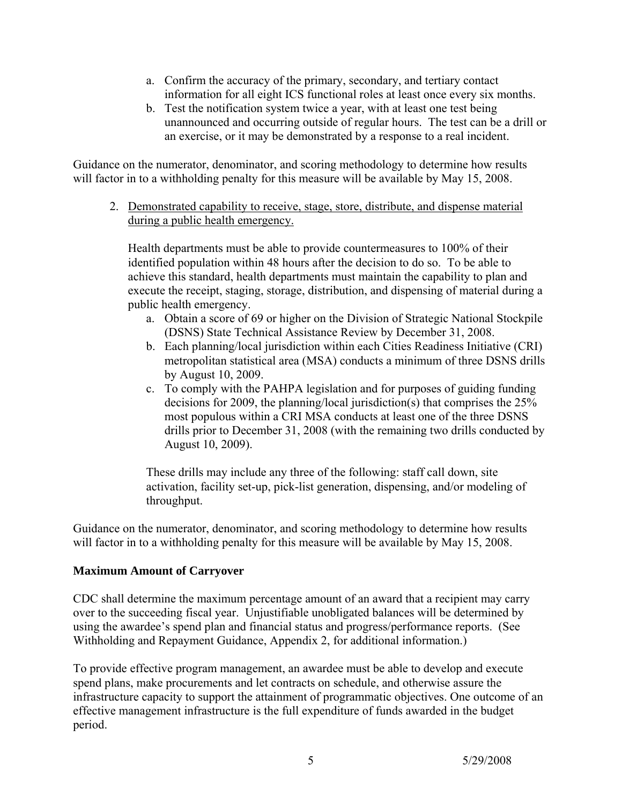- a. Confirm the accuracy of the primary, secondary, and tertiary contact information for all eight ICS functional roles at least once every six months.
- b. Test the notification system twice a year, with at least one test being unannounced and occurring outside of regular hours. The test can be a drill or an exercise, or it may be demonstrated by a response to a real incident.

Guidance on the numerator, denominator, and scoring methodology to determine how results will factor in to a withholding penalty for this measure will be available by May 15, 2008.

2. Demonstrated capability to receive, stage, store, distribute, and dispense material during a public health emergency.

Health departments must be able to provide countermeasures to 100% of their identified population within 48 hours after the decision to do so. To be able to achieve this standard, health departments must maintain the capability to plan and execute the receipt, staging, storage, distribution, and dispensing of material during a public health emergency.

- a. Obtain a score of 69 or higher on the Division of Strategic National Stockpile (DSNS) State Technical Assistance Review by December 31, 2008.
- b. Each planning/local jurisdiction within each Cities Readiness Initiative (CRI) metropolitan statistical area (MSA) conducts a minimum of three DSNS drills by August 10, 2009.
- c. To comply with the PAHPA legislation and for purposes of guiding funding decisions for 2009, the planning/local jurisdiction(s) that comprises the 25% most populous within a CRI MSA conducts at least one of the three DSNS drills prior to December 31, 2008 (with the remaining two drills conducted by August 10, 2009).

These drills may include any three of the following: staff call down, site activation, facility set-up, pick-list generation, dispensing, and/or modeling of throughput.

Guidance on the numerator, denominator, and scoring methodology to determine how results will factor in to a withholding penalty for this measure will be available by May 15, 2008.

## **Maximum Amount of Carryover**

CDC shall determine the maximum percentage amount of an award that a recipient may carry over to the succeeding fiscal year. Unjustifiable unobligated balances will be determined by using the awardee's spend plan and financial status and progress/performance reports. (See Withholding and Repayment Guidance, Appendix 2, for additional information.)

To provide effective program management, an awardee must be able to develop and execute spend plans, make procurements and let contracts on schedule, and otherwise assure the infrastructure capacity to support the attainment of programmatic objectives. One outcome of an effective management infrastructure is the full expenditure of funds awarded in the budget period.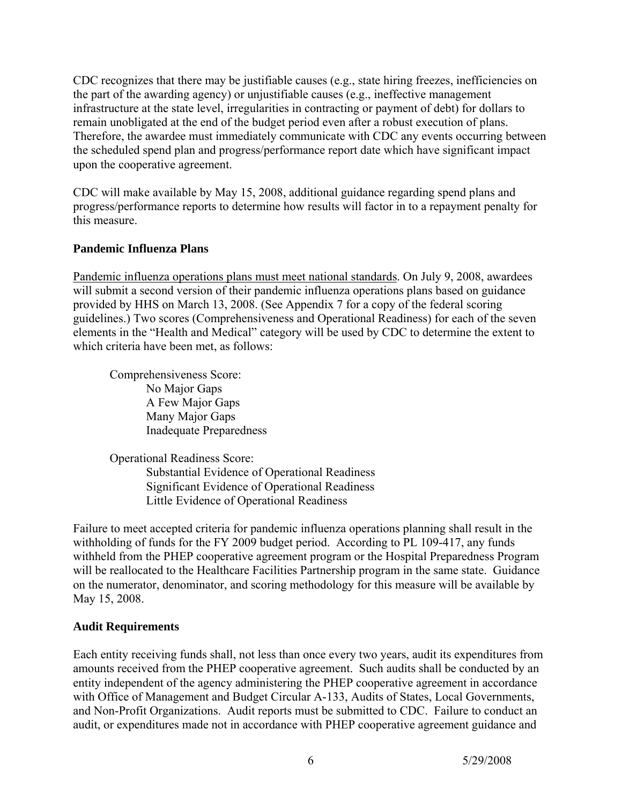CDC recognizes that there may be justifiable causes (e.g., state hiring freezes, inefficiencies on the part of the awarding agency) or unjustifiable causes (e.g., ineffective management infrastructure at the state level, irregularities in contracting or payment of debt) for dollars to remain unobligated at the end of the budget period even after a robust execution of plans. Therefore, the awardee must immediately communicate with CDC any events occurring between the scheduled spend plan and progress/performance report date which have significant impact upon the cooperative agreement.

CDC will make available by May 15, 2008, additional guidance regarding spend plans and progress/performance reports to determine how results will factor in to a repayment penalty for this measure.

## **Pandemic Influenza Plans**

Pandemic influenza operations plans must meet national standards. On July 9, 2008, awardees will submit a second version of their pandemic influenza operations plans based on guidance provided by HHS on March 13, 2008. (See Appendix 7 for a copy of the federal scoring guidelines.) Two scores (Comprehensiveness and Operational Readiness) for each of the seven elements in the "Health and Medical" category will be used by CDC to determine the extent to which criteria have been met, as follows:

Comprehensiveness Score: No Major Gaps A Few Major Gaps Many Major Gaps Inadequate Preparedness

Operational Readiness Score: Substantial Evidence of Operational Readiness Significant Evidence of Operational Readiness Little Evidence of Operational Readiness

Failure to meet accepted criteria for pandemic influenza operations planning shall result in the withholding of funds for the FY 2009 budget period. According to PL 109-417, any funds withheld from the PHEP cooperative agreement program or the Hospital Preparedness Program will be reallocated to the Healthcare Facilities Partnership program in the same state. Guidance on the numerator, denominator, and scoring methodology for this measure will be available by May 15, 2008.

## **Audit Requirements**

Each entity receiving funds shall, not less than once every two years, audit its expenditures from amounts received from the PHEP cooperative agreement. Such audits shall be conducted by an entity independent of the agency administering the PHEP cooperative agreement in accordance with Office of Management and Budget Circular A-133, Audits of States, Local Governments, and Non-Profit Organizations. Audit reports must be submitted to CDC. Failure to conduct an audit, or expenditures made not in accordance with PHEP cooperative agreement guidance and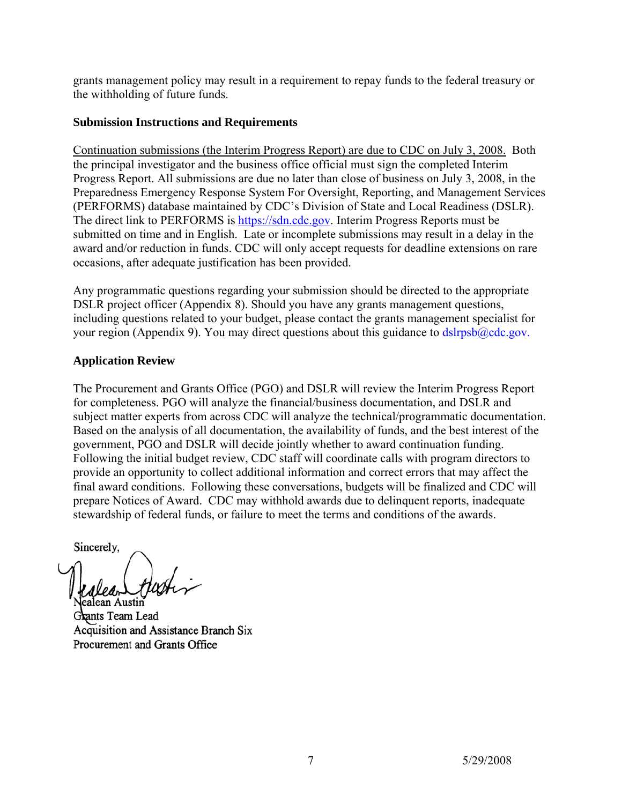grants management policy may result in a requirement to repay funds to the federal treasury or the withholding of future funds.

#### **Submission Instructions and Requirements**

Continuation submissions (the Interim Progress Report) are due to CDC on July 3, 2008. Both the principal investigator and the business office official must sign the completed Interim Progress Report. All submissions are due no later than close of business on July 3, 2008, in the Preparedness Emergency Response System For Oversight, Reporting, and Management Services (PERFORMS) database maintained by CDC's Division of State and Local Readiness (DSLR). The direct link to PERFORMS is [https://sdn.cdc.gov](https://sdn.cdc.gov/). Interim Progress Reports must be submitted on time and in English. Late or incomplete submissions may result in a delay in the award and/or reduction in funds. CDC will only accept requests for deadline extensions on rare occasions, after adequate justification has been provided.

Any programmatic questions regarding your submission should be directed to the appropriate DSLR project officer (Appendix 8). Should you have any grants management questions, including questions related to your budget, please contact the grants management specialist for your region (Appendix 9). You may direct questions about this guidance to dslrpsb@cdc.gov.

## **Application Review**

The Procurement and Grants Office (PGO) and DSLR will review the Interim Progress Report for completeness. PGO will analyze the financial/business documentation, and DSLR and subject matter experts from across CDC will analyze the technical/programmatic documentation. Based on the analysis of all documentation, the availability of funds, and the best interest of the government, PGO and DSLR will decide jointly whether to award continuation funding. Following the initial budget review, CDC staff will coordinate calls with program directors to provide an opportunity to collect additional information and correct errors that may affect the final award conditions. Following these conversations, budgets will be finalized and CDC will prepare Notices of Award. CDC may withhold awards due to delinquent reports, inadequate stewardship of federal funds, or failure to meet the terms and conditions of the awards.

Sincerely,

Grants Team Lead Acquisition and Assistance Branch Six Procurement and Grants Office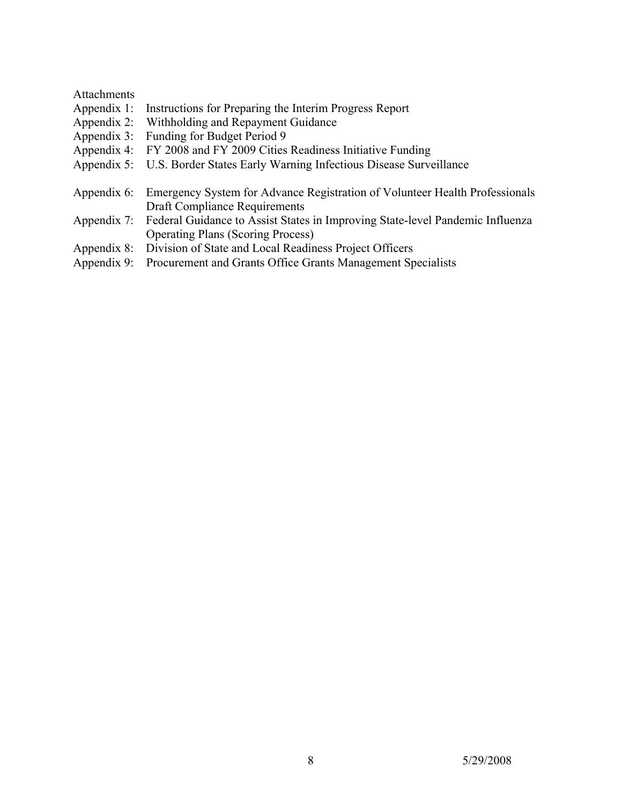#### Attachments

- Appendix 1: Instructions for Preparing the Interim Progress Report
- Appendix 2: Withholding and Repayment Guidance
- Appendix 3: Funding for Budget Period 9
- Appendix 4: FY 2008 and FY 2009 Cities Readiness Initiative Funding<br>Appendix 5: U.S. Border States Early Warning Infectious Disease Surve
- U.S. Border States Early Warning Infectious Disease Surveillance
- Appendix 6: Emergency System for Advance Registration of Volunteer Health Professionals Draft Compliance Requirements
- Appendix 7: Federal Guidance to Assist States in Improving State-level Pandemic Influenza Operating Plans (Scoring Process)
- Appendix 8: Division of State and Local Readiness Project Officers
- Appendix 9: Procurement and Grants Office Grants Management Specialists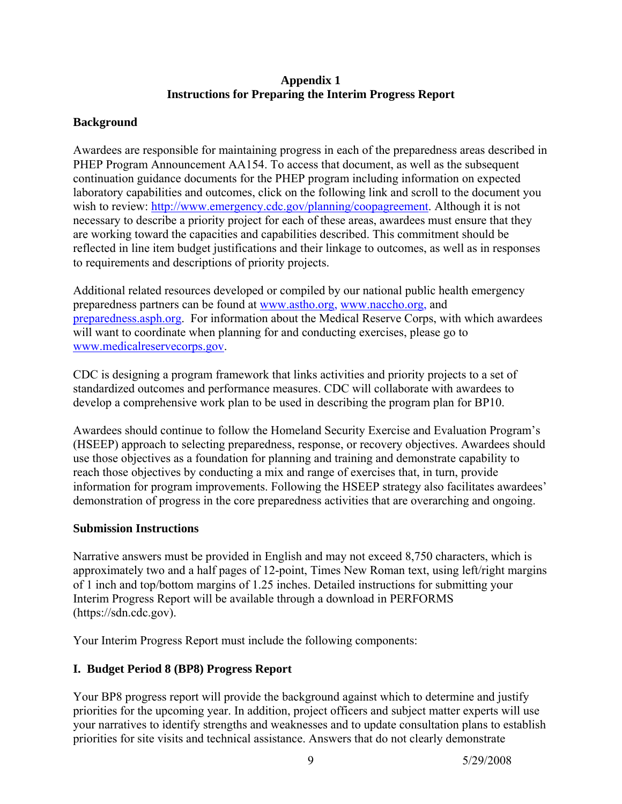#### **Appendix 1 Instructions for Preparing the Interim Progress Report**

## **Background**

Awardees are responsible for maintaining progress in each of the preparedness areas described in PHEP Program Announcement AA154. To access that document, as well as the subsequent continuation guidance documents for the PHEP program including information on expected laboratory capabilities and outcomes, click on the following link and scroll to the document you wish to review: [http://www.emergency.cdc.gov/planning/coopagreement.](http://www.emergency.cdc.gov/planning/coopagreement) Although it is not necessary to describe a priority project for each of these areas, awardees must ensure that they are working toward the capacities and capabilities described. This commitment should be reflected in line item budget justifications and their linkage to outcomes, as well as in responses to requirements and descriptions of priority projects.

Additional related resources developed or compiled by our national public health emergency preparedness partners can be found at [www.astho.org](http://www.astho.org/), [www.naccho.org](http://www.naccho.org/), and [preparedness.asph.org.](http://www.asph.org/) For information about the Medical Reserve Corps, with which awardees will want to coordinate when planning for and conducting exercises, please go to [www.medicalreservecorps.gov.](http://www.medicalreservecorps.gov/)

CDC is designing a program framework that links activities and priority projects to a set of standardized outcomes and performance measures. CDC will collaborate with awardees to develop a comprehensive work plan to be used in describing the program plan for BP10.

Awardees should continue to follow the Homeland Security Exercise and Evaluation Program's (HSEEP) approach to selecting preparedness, response, or recovery objectives. Awardees should use those objectives as a foundation for planning and training and demonstrate capability to reach those objectives by conducting a mix and range of exercises that, in turn, provide information for program improvements. Following the HSEEP strategy also facilitates awardees' demonstration of progress in the core preparedness activities that are overarching and ongoing.

## **Submission Instructions**

Narrative answers must be provided in English and may not exceed 8,750 characters, which is approximately two and a half pages of 12-point, Times New Roman text, using left/right margins of 1 inch and top/bottom margins of 1.25 inches. Detailed instructions for submitting your Interim Progress Report will be available through a download in PERFORMS (https://sdn.cdc.gov).

Your Interim Progress Report must include the following components:

# **I. Budget Period 8 (BP8) Progress Report**

Your BP8 progress report will provide the background against which to determine and justify priorities for the upcoming year. In addition, project officers and subject matter experts will use your narratives to identify strengths and weaknesses and to update consultation plans to establish priorities for site visits and technical assistance. Answers that do not clearly demonstrate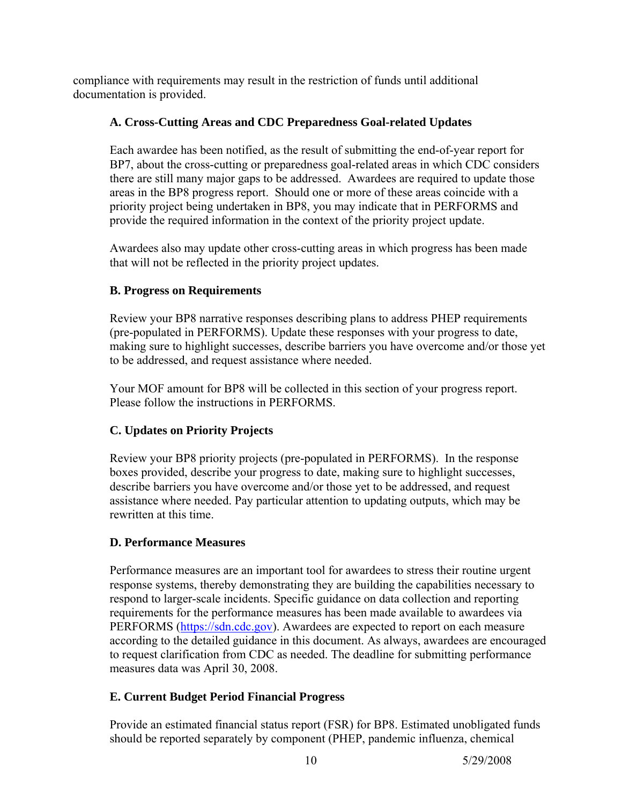compliance with requirements may result in the restriction of funds until additional documentation is provided.

## **A. Cross-Cutting Areas and CDC Preparedness Goal-related Updates**

Each awardee has been notified, as the result of submitting the end-of-year report for BP7, about the cross-cutting or preparedness goal-related areas in which CDC considers there are still many major gaps to be addressed. Awardees are required to update those areas in the BP8 progress report. Should one or more of these areas coincide with a priority project being undertaken in BP8, you may indicate that in PERFORMS and provide the required information in the context of the priority project update.

Awardees also may update other cross-cutting areas in which progress has been made that will not be reflected in the priority project updates.

## **B. Progress on Requirements**

Review your BP8 narrative responses describing plans to address PHEP requirements (pre-populated in PERFORMS). Update these responses with your progress to date, making sure to highlight successes, describe barriers you have overcome and/or those yet to be addressed, and request assistance where needed.

Your MOF amount for BP8 will be collected in this section of your progress report. Please follow the instructions in PERFORMS.

# **C. Updates on Priority Projects**

Review your BP8 priority projects (pre-populated in PERFORMS). In the response boxes provided, describe your progress to date, making sure to highlight successes, describe barriers you have overcome and/or those yet to be addressed, and request assistance where needed. Pay particular attention to updating outputs, which may be rewritten at this time.

## **D. Performance Measures**

Performance measures are an important tool for awardees to stress their routine urgent response systems, thereby demonstrating they are building the capabilities necessary to respond to larger-scale incidents. Specific guidance on data collection and reporting requirements for the performance measures has been made available to awardees via PERFORMS ([https://sdn.cdc.gov](https://sdn.cdc.gov/)). Awardees are expected to report on each measure according to the detailed guidance in this document. As always, awardees are encouraged to request clarification from CDC as needed. The deadline for submitting performance measures data was April 30, 2008.

# **E. Current Budget Period Financial Progress**

Provide an estimated financial status report (FSR) for BP8. Estimated unobligated funds should be reported separately by component (PHEP, pandemic influenza, chemical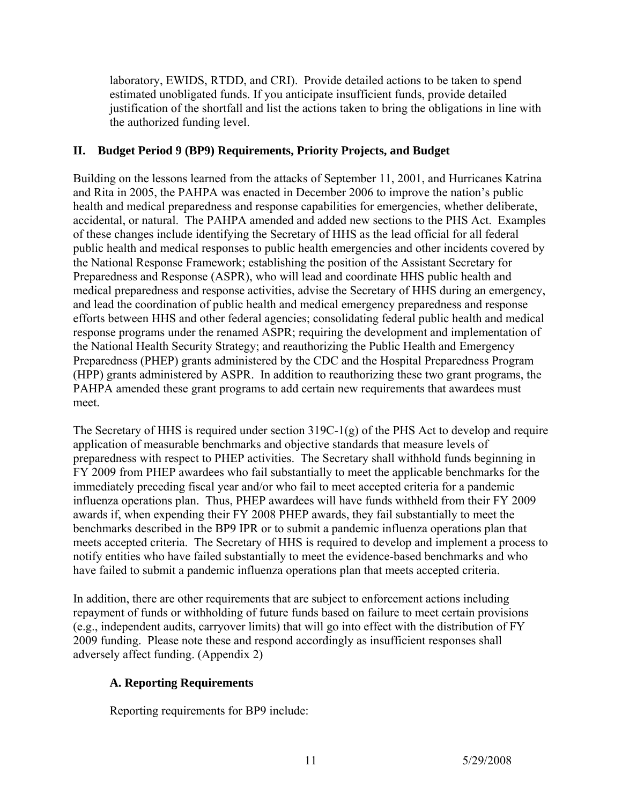laboratory, EWIDS, RTDD, and CRI). Provide detailed actions to be taken to spend estimated unobligated funds. If you anticipate insufficient funds, provide detailed justification of the shortfall and list the actions taken to bring the obligations in line with the authorized funding level.

## **II. Budget Period 9 (BP9) Requirements, Priority Projects, and Budget**

Building on the lessons learned from the attacks of September 11, 2001, and Hurricanes Katrina and Rita in 2005, the PAHPA was enacted in December 2006 to improve the nation's public health and medical preparedness and response capabilities for emergencies, whether deliberate, accidental, or natural. The PAHPA amended and added new sections to the PHS Act. Examples of these changes include identifying the Secretary of HHS as the lead official for all federal public health and medical responses to public health emergencies and other incidents covered by the National Response Framework; establishing the position of the Assistant Secretary for Preparedness and Response (ASPR), who will lead and coordinate HHS public health and medical preparedness and response activities, advise the Secretary of HHS during an emergency, and lead the coordination of public health and medical emergency preparedness and response efforts between HHS and other federal agencies; consolidating federal public health and medical response programs under the renamed ASPR; requiring the development and implementation of the National Health Security Strategy; and reauthorizing the Public Health and Emergency Preparedness (PHEP) grants administered by the CDC and the Hospital Preparedness Program (HPP) grants administered by ASPR. In addition to reauthorizing these two grant programs, the PAHPA amended these grant programs to add certain new requirements that awardees must meet.

The Secretary of HHS is required under section 319C-1(g) of the PHS Act to develop and require application of measurable benchmarks and objective standards that measure levels of preparedness with respect to PHEP activities. The Secretary shall withhold funds beginning in FY 2009 from PHEP awardees who fail substantially to meet the applicable benchmarks for the immediately preceding fiscal year and/or who fail to meet accepted criteria for a pandemic influenza operations plan. Thus, PHEP awardees will have funds withheld from their FY 2009 awards if, when expending their FY 2008 PHEP awards, they fail substantially to meet the benchmarks described in the BP9 IPR or to submit a pandemic influenza operations plan that meets accepted criteria. The Secretary of HHS is required to develop and implement a process to notify entities who have failed substantially to meet the evidence-based benchmarks and who have failed to submit a pandemic influenza operations plan that meets accepted criteria.

In addition, there are other requirements that are subject to enforcement actions including repayment of funds or withholding of future funds based on failure to meet certain provisions (e.g., independent audits, carryover limits) that will go into effect with the distribution of FY 2009 funding. Please note these and respond accordingly as insufficient responses shall adversely affect funding. (Appendix 2)

# **A. Reporting Requirements**

Reporting requirements for BP9 include: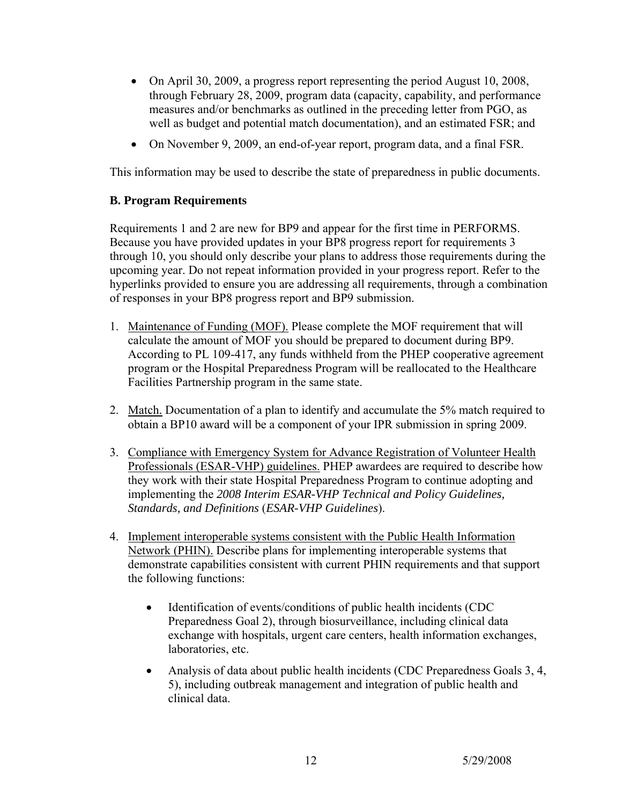- On April 30, 2009, a progress report representing the period August 10, 2008, through February 28, 2009, program data (capacity, capability, and performance measures and/or benchmarks as outlined in the preceding letter from PGO, as well as budget and potential match documentation), and an estimated FSR; and
- On November 9, 2009, an end-of-year report, program data, and a final FSR.

This information may be used to describe the state of preparedness in public documents.

#### **B. Program Requirements**

Requirements 1 and 2 are new for BP9 and appear for the first time in PERFORMS. Because you have provided updates in your BP8 progress report for requirements 3 through 10, you should only describe your plans to address those requirements during the upcoming year. Do not repeat information provided in your progress report. Refer to the hyperlinks provided to ensure you are addressing all requirements, through a combination of responses in your BP8 progress report and BP9 submission.

- 1. Maintenance of Funding (MOF). Please complete the MOF requirement that will calculate the amount of MOF you should be prepared to document during BP9. According to PL 109-417, any funds withheld from the PHEP cooperative agreement program or the Hospital Preparedness Program will be reallocated to the Healthcare Facilities Partnership program in the same state.
- 2. Match. Documentation of a plan to identify and accumulate the 5% match required to obtain a BP10 award will be a component of your IPR submission in spring 2009.
- 3. Compliance with Emergency System for Advance Registration of Volunteer Health Professionals (ESAR-VHP) guidelines. PHEP awardees are required to describe how they work with their state Hospital Preparedness Program to continue adopting and implementing the *2008 Interim ESAR-VHP Technical and Policy Guidelines, Standards, and Definitions* (*ESAR-VHP Guidelines*).
- 4. Implement interoperable systems consistent with the Public Health Information Network (PHIN). Describe plans for implementing interoperable systems that demonstrate capabilities consistent with current PHIN requirements and that support the following functions:
	- Identification of events/conditions of public health incidents (CDC) Preparedness Goal 2), through biosurveillance, including clinical data exchange with hospitals, urgent care centers, health information exchanges, laboratories, etc.
	- Analysis of data about public health incidents (CDC Preparedness Goals 3, 4, 5), including outbreak management and integration of public health and clinical data.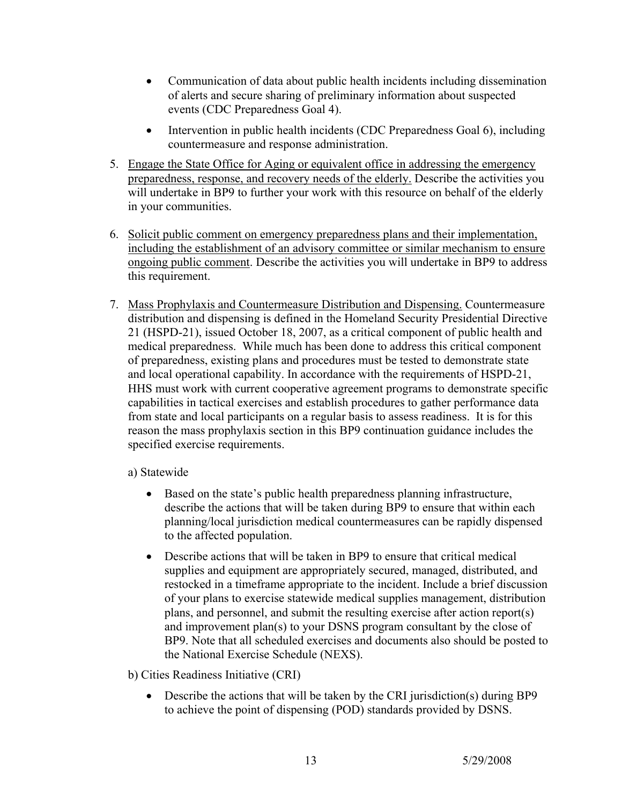- Communication of data about public health incidents including dissemination of alerts and secure sharing of preliminary information about suspected events (CDC Preparedness Goal 4).
- Intervention in public health incidents (CDC Preparedness Goal 6), including countermeasure and response administration.
- 5. Engage the State Office for Aging or equivalent office in addressing the emergency preparedness, response, and recovery needs of the elderly. Describe the activities you will undertake in BP9 to further your work with this resource on behalf of the elderly in your communities.
- 6. Solicit public comment on emergency preparedness plans and their implementation, including the establishment of an advisory committee or similar mechanism to ensure ongoing public comment. Describe the activities you will undertake in BP9 to address this requirement.
- 7. Mass Prophylaxis and Countermeasure Distribution and Dispensing. Countermeasure distribution and dispensing is defined in the Homeland Security Presidential Directive 21 (HSPD-21), issued October 18, 2007, as a critical component of public health and medical preparedness. While much has been done to address this critical component of preparedness, existing plans and procedures must be tested to demonstrate state and local operational capability. In accordance with the requirements of HSPD-21, HHS must work with current cooperative agreement programs to demonstrate specific capabilities in tactical exercises and establish procedures to gather performance data from state and local participants on a regular basis to assess readiness. It is for this reason the mass prophylaxis section in this BP9 continuation guidance includes the specified exercise requirements.

a) Statewide

- Based on the state's public health preparedness planning infrastructure, describe the actions that will be taken during BP9 to ensure that within each planning/local jurisdiction medical countermeasures can be rapidly dispensed to the affected population.
- Describe actions that will be taken in BP9 to ensure that critical medical supplies and equipment are appropriately secured, managed, distributed, and restocked in a timeframe appropriate to the incident. Include a brief discussion of your plans to exercise statewide medical supplies management, distribution plans, and personnel, and submit the resulting exercise after action report(s) and improvement plan(s) to your DSNS program consultant by the close of BP9. Note that all scheduled exercises and documents also should be posted to the National Exercise Schedule (NEXS).

b) Cities Readiness Initiative (CRI)

• Describe the actions that will be taken by the CRI jurisdiction(s) during BP9 to achieve the point of dispensing (POD) standards provided by DSNS.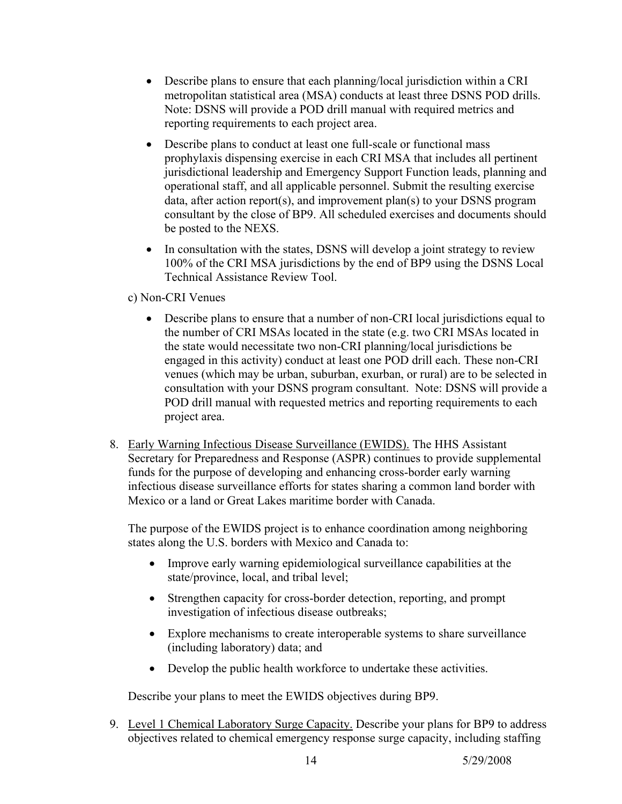- Describe plans to ensure that each planning/local jurisdiction within a CRI metropolitan statistical area (MSA) conducts at least three DSNS POD drills. Note: DSNS will provide a POD drill manual with required metrics and reporting requirements to each project area.
- Describe plans to conduct at least one full-scale or functional mass prophylaxis dispensing exercise in each CRI MSA that includes all pertinent jurisdictional leadership and Emergency Support Function leads, planning and operational staff, and all applicable personnel. Submit the resulting exercise data, after action report(s), and improvement plan(s) to your DSNS program consultant by the close of BP9. All scheduled exercises and documents should be posted to the NEXS.
- In consultation with the states, DSNS will develop a joint strategy to review 100% of the CRI MSA jurisdictions by the end of BP9 using the DSNS Local Technical Assistance Review Tool.

## c) Non-CRI Venues

- Describe plans to ensure that a number of non-CRI local jurisdictions equal to the number of CRI MSAs located in the state (e.g. two CRI MSAs located in the state would necessitate two non-CRI planning/local jurisdictions be engaged in this activity) conduct at least one POD drill each. These non-CRI venues (which may be urban, suburban, exurban, or rural) are to be selected in consultation with your DSNS program consultant. Note: DSNS will provide a POD drill manual with requested metrics and reporting requirements to each project area.
- 8. Early Warning Infectious Disease Surveillance (EWIDS). The HHS Assistant Secretary for Preparedness and Response (ASPR) continues to provide supplemental funds for the purpose of developing and enhancing cross-border early warning infectious disease surveillance efforts for states sharing a common land border with Mexico or a land or Great Lakes maritime border with Canada.

The purpose of the EWIDS project is to enhance coordination among neighboring states along the U.S. borders with Mexico and Canada to:

- Improve early warning epidemiological surveillance capabilities at the state/province, local, and tribal level;
- Strengthen capacity for cross-border detection, reporting, and prompt investigation of infectious disease outbreaks;
- Explore mechanisms to create interoperable systems to share surveillance (including laboratory) data; and
- Develop the public health workforce to undertake these activities.

Describe your plans to meet the EWIDS objectives during BP9.

9. Level 1 Chemical Laboratory Surge Capacity. Describe your plans for BP9 to address objectives related to chemical emergency response surge capacity, including staffing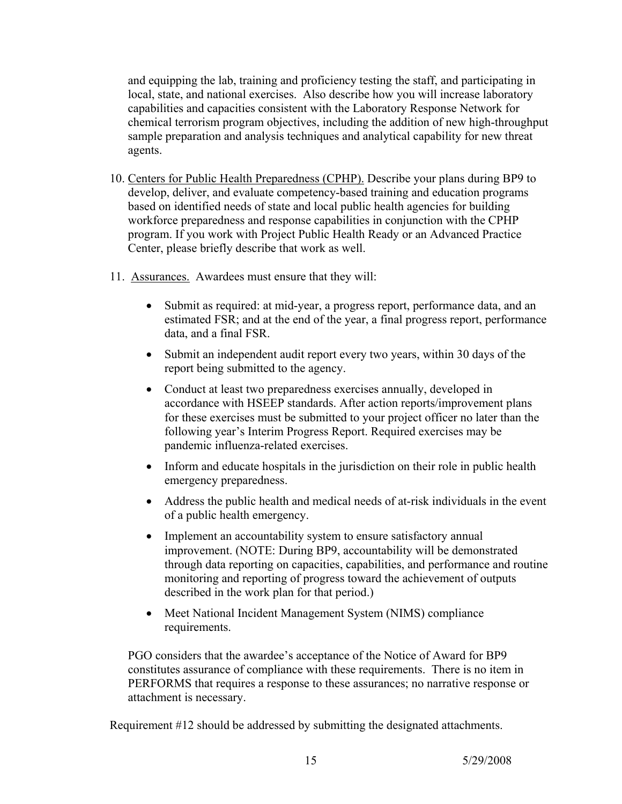and equipping the lab, training and proficiency testing the staff, and participating in local, state, and national exercises. Also describe how you will increase laboratory capabilities and capacities consistent with the Laboratory Response Network for chemical terrorism program objectives, including the addition of new high-throughput sample preparation and analysis techniques and analytical capability for new threat agents.

- 10. Centers for Public Health Preparedness (CPHP). Describe your plans during BP9 to develop, deliver, and evaluate competency-based training and education programs based on identified needs of state and local public health agencies for building workforce preparedness and response capabilities in conjunction with the CPHP program. If you work with Project Public Health Ready or an Advanced Practice Center, please briefly describe that work as well.
- 11. Assurances. Awardees must ensure that they will:
	- Submit as required: at mid-year, a progress report, performance data, and an estimated FSR; and at the end of the year, a final progress report, performance data, and a final FSR.
	- Submit an independent audit report every two years, within 30 days of the report being submitted to the agency.
	- Conduct at least two preparedness exercises annually, developed in accordance with HSEEP standards. After action reports/improvement plans for these exercises must be submitted to your project officer no later than the following year's Interim Progress Report. Required exercises may be pandemic influenza-related exercises.
	- Inform and educate hospitals in the jurisdiction on their role in public health emergency preparedness.
	- Address the public health and medical needs of at-risk individuals in the event of a public health emergency.
	- Implement an accountability system to ensure satisfactory annual improvement. (NOTE: During BP9, accountability will be demonstrated through data reporting on capacities, capabilities, and performance and routine monitoring and reporting of progress toward the achievement of outputs described in the work plan for that period.)
	- Meet National Incident Management System (NIMS) compliance requirements.

PGO considers that the awardee's acceptance of the Notice of Award for BP9 constitutes assurance of compliance with these requirements. There is no item in PERFORMS that requires a response to these assurances; no narrative response or attachment is necessary.

Requirement #12 should be addressed by submitting the designated attachments.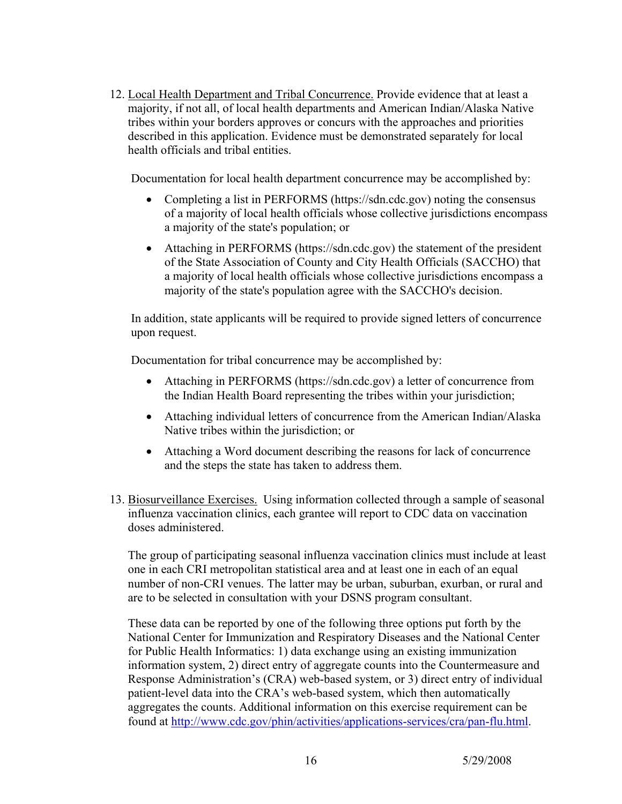12. Local Health Department and Tribal Concurrence. Provide evidence that at least a majority, if not all, of local health departments and American Indian/Alaska Native tribes within your borders approves or concurs with the approaches and priorities described in this application. Evidence must be demonstrated separately for local health officials and tribal entities.

Documentation for local health department concurrence may be accomplished by:

- Completing a list in PERFORMS (https://sdn.cdc.gov) noting the consensus of a majority of local health officials whose collective jurisdictions encompass a majority of the state's population; or
- Attaching in PERFORMS (https://sdn.cdc.gov) the statement of the president of the State Association of County and City Health Officials (SACCHO) that a majority of local health officials whose collective jurisdictions encompass a majority of the state's population agree with the SACCHO's decision.

In addition, state applicants will be required to provide signed letters of concurrence upon request.

Documentation for tribal concurrence may be accomplished by:

- Attaching in PERFORMS (https://sdn.cdc.gov) a letter of concurrence from the Indian Health Board representing the tribes within your jurisdiction;
- Attaching individual letters of concurrence from the American Indian/Alaska Native tribes within the jurisdiction; or
- Attaching a Word document describing the reasons for lack of concurrence and the steps the state has taken to address them.
- 13. Biosurveillance Exercises. Using information collected through a sample of seasonal influenza vaccination clinics, each grantee will report to CDC data on vaccination doses administered.

The group of participating seasonal influenza vaccination clinics must include at least one in each CRI metropolitan statistical area and at least one in each of an equal number of non-CRI venues. The latter may be urban, suburban, exurban, or rural and are to be selected in consultation with your DSNS program consultant.

These data can be reported by one of the following three options put forth by the National Center for Immunization and Respiratory Diseases and the National Center for Public Health Informatics: 1) data exchange using an existing immunization information system, 2) direct entry of aggregate counts into the Countermeasure and Response Administration's (CRA) web-based system, or 3) direct entry of individual patient-level data into the CRA's web-based system, which then automatically aggregates the counts. Additional information on this exercise requirement can be found at <http://www.cdc.gov/phin/activities/applications-services/cra/pan-flu.html>.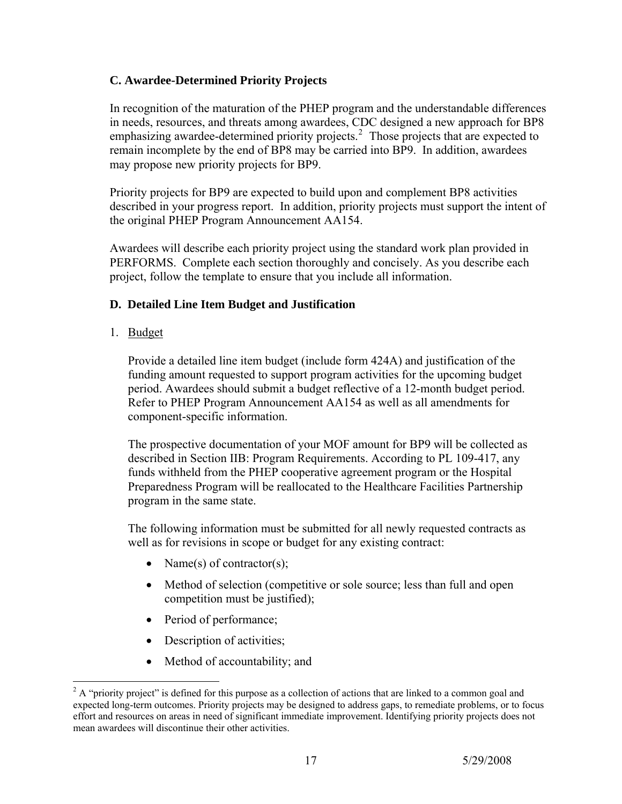## **C. Awardee-Determined Priority Projects**

In recognition of the maturation of the PHEP program and the understandable differences in needs, resources, and threats among awardees, CDC designed a new approach for BP8 emphasizing awardee-determined priority projects.<sup>[2](#page-16-0)</sup> Those projects that are expected to remain incomplete by the end of BP8 may be carried into BP9. In addition, awardees may propose new priority projects for BP9.

Priority projects for BP9 are expected to build upon and complement BP8 activities described in your progress report. In addition, priority projects must support the intent of the original PHEP Program Announcement AA154.

Awardees will describe each priority project using the standard work plan provided in PERFORMS. Complete each section thoroughly and concisely. As you describe each project, follow the template to ensure that you include all information.

## **D. Detailed Line Item Budget and Justification**

1. Budget

 $\overline{a}$ 

Provide a detailed line item budget (include form 424A) and justification of the funding amount requested to support program activities for the upcoming budget period. Awardees should submit a budget reflective of a 12-month budget period. Refer to PHEP Program Announcement AA154 as well as all amendments for component-specific information.

The prospective documentation of your MOF amount for BP9 will be collected as described in Section IIB: Program Requirements. According to PL 109-417, any funds withheld from the PHEP cooperative agreement program or the Hospital Preparedness Program will be reallocated to the Healthcare Facilities Partnership program in the same state.

The following information must be submitted for all newly requested contracts as well as for revisions in scope or budget for any existing contract:

- Name(s) of contractor(s);
- Method of selection (competitive or sole source; less than full and open competition must be justified);
- Period of performance;
- Description of activities;
- Method of accountability; and

<span id="page-16-0"></span> $2^2$  A "priority project" is defined for this purpose as a collection of actions that are linked to a common goal and expected long-term outcomes. Priority projects may be designed to address gaps, to remediate problems, or to focus effort and resources on areas in need of significant immediate improvement. Identifying priority projects does not mean awardees will discontinue their other activities.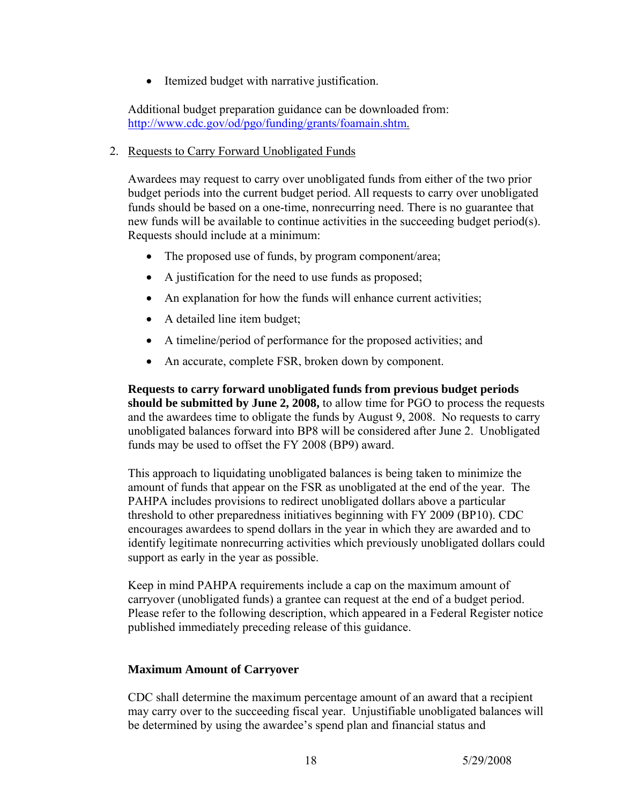• Itemized budget with narrative justification.

Additional budget preparation guidance can be downloaded from: <http://www.cdc.gov/od/pgo/funding/grants/foamain.shtm>.

2. Requests to Carry Forward Unobligated Funds

Awardees may request to carry over unobligated funds from either of the two prior budget periods into the current budget period. All requests to carry over unobligated funds should be based on a one-time, nonrecurring need. There is no guarantee that new funds will be available to continue activities in the succeeding budget period(s). Requests should include at a minimum:

- The proposed use of funds, by program component/area;
- A justification for the need to use funds as proposed;
- An explanation for how the funds will enhance current activities;
- A detailed line item budget;
- A timeline/period of performance for the proposed activities; and
- An accurate, complete FSR, broken down by component.

**Requests to carry forward unobligated funds from previous budget periods should be submitted by June 2, 2008,** to allow time for PGO to process the requests and the awardees time to obligate the funds by August 9, 2008. No requests to carry unobligated balances forward into BP8 will be considered after June 2. Unobligated funds may be used to offset the FY 2008 (BP9) award.

This approach to liquidating unobligated balances is being taken to minimize the amount of funds that appear on the FSR as unobligated at the end of the year. The PAHPA includes provisions to redirect unobligated dollars above a particular threshold to other preparedness initiatives beginning with FY 2009 (BP10). CDC encourages awardees to spend dollars in the year in which they are awarded and to identify legitimate nonrecurring activities which previously unobligated dollars could support as early in the year as possible.

Keep in mind PAHPA requirements include a cap on the maximum amount of carryover (unobligated funds) a grantee can request at the end of a budget period. Please refer to the following description, which appeared in a Federal Register notice published immediately preceding release of this guidance.

## **Maximum Amount of Carryover**

CDC shall determine the maximum percentage amount of an award that a recipient may carry over to the succeeding fiscal year. Unjustifiable unobligated balances will be determined by using the awardee's spend plan and financial status and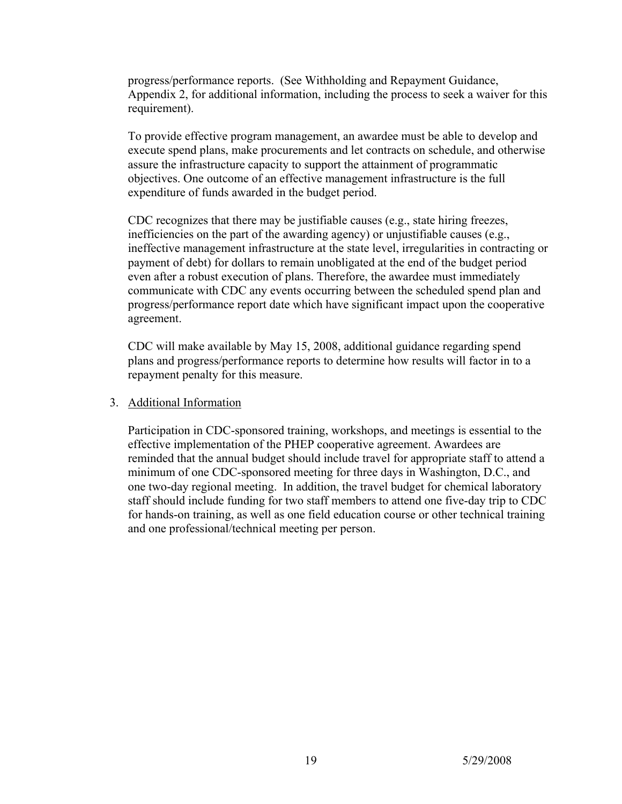progress/performance reports. (See Withholding and Repayment Guidance, Appendix 2, for additional information, including the process to seek a waiver for this requirement).

To provide effective program management, an awardee must be able to develop and execute spend plans, make procurements and let contracts on schedule, and otherwise assure the infrastructure capacity to support the attainment of programmatic objectives. One outcome of an effective management infrastructure is the full expenditure of funds awarded in the budget period.

CDC recognizes that there may be justifiable causes (e.g., state hiring freezes, inefficiencies on the part of the awarding agency) or unjustifiable causes (e.g., ineffective management infrastructure at the state level, irregularities in contracting or payment of debt) for dollars to remain unobligated at the end of the budget period even after a robust execution of plans. Therefore, the awardee must immediately communicate with CDC any events occurring between the scheduled spend plan and progress/performance report date which have significant impact upon the cooperative agreement.

CDC will make available by May 15, 2008, additional guidance regarding spend plans and progress/performance reports to determine how results will factor in to a repayment penalty for this measure.

#### 3. Additional Information

Participation in CDC-sponsored training, workshops, and meetings is essential to the effective implementation of the PHEP cooperative agreement. Awardees are reminded that the annual budget should include travel for appropriate staff to attend a minimum of one CDC-sponsored meeting for three days in Washington, D.C., and one two-day regional meeting. In addition, the travel budget for chemical laboratory staff should include funding for two staff members to attend one five-day trip to CDC for hands-on training, as well as one field education course or other technical training and one professional/technical meeting per person.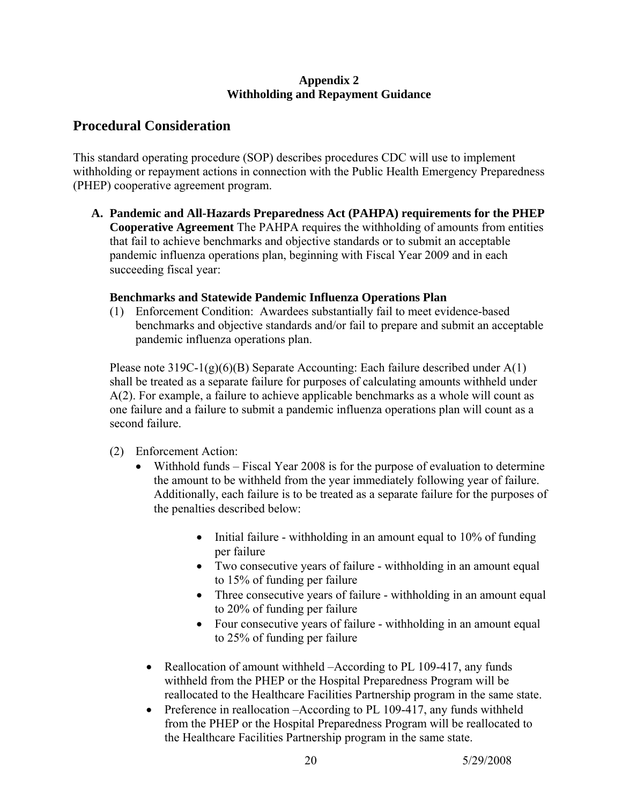#### **Appendix 2 Withholding and Repayment Guidance**

# **Procedural Consideration**

This standard operating procedure (SOP) describes procedures CDC will use to implement withholding or repayment actions in connection with the Public Health Emergency Preparedness (PHEP) cooperative agreement program.

**A. Pandemic and All-Hazards Preparedness Act (PAHPA) requirements for the PHEP Cooperative Agreement** The PAHPA requires the withholding of amounts from entities that fail to achieve benchmarks and objective standards or to submit an acceptable pandemic influenza operations plan, beginning with Fiscal Year 2009 and in each succeeding fiscal year:

## **Benchmarks and Statewide Pandemic Influenza Operations Plan**

(1) Enforcement Condition: Awardees substantially fail to meet evidence-based benchmarks and objective standards and/or fail to prepare and submit an acceptable pandemic influenza operations plan.

Please note 319C-1(g)(6)(B) Separate Accounting: Each failure described under A(1) shall be treated as a separate failure for purposes of calculating amounts withheld under A(2). For example, a failure to achieve applicable benchmarks as a whole will count as one failure and a failure to submit a pandemic influenza operations plan will count as a second failure.

- (2) Enforcement Action:
	- Withhold funds Fiscal Year 2008 is for the purpose of evaluation to determine the amount to be withheld from the year immediately following year of failure. Additionally, each failure is to be treated as a separate failure for the purposes of the penalties described below:
		- Initial failure withholding in an amount equal to 10% of funding per failure
		- Two consecutive years of failure withholding in an amount equal to 15% of funding per failure
		- Three consecutive years of failure withholding in an amount equal to 20% of funding per failure
		- Four consecutive years of failure withholding in an amount equal to 25% of funding per failure
		- Reallocation of amount withheld –According to PL 109-417, any funds withheld from the PHEP or the Hospital Preparedness Program will be reallocated to the Healthcare Facilities Partnership program in the same state.
		- Preference in reallocation –According to PL 109-417, any funds withheld from the PHEP or the Hospital Preparedness Program will be reallocated to the Healthcare Facilities Partnership program in the same state.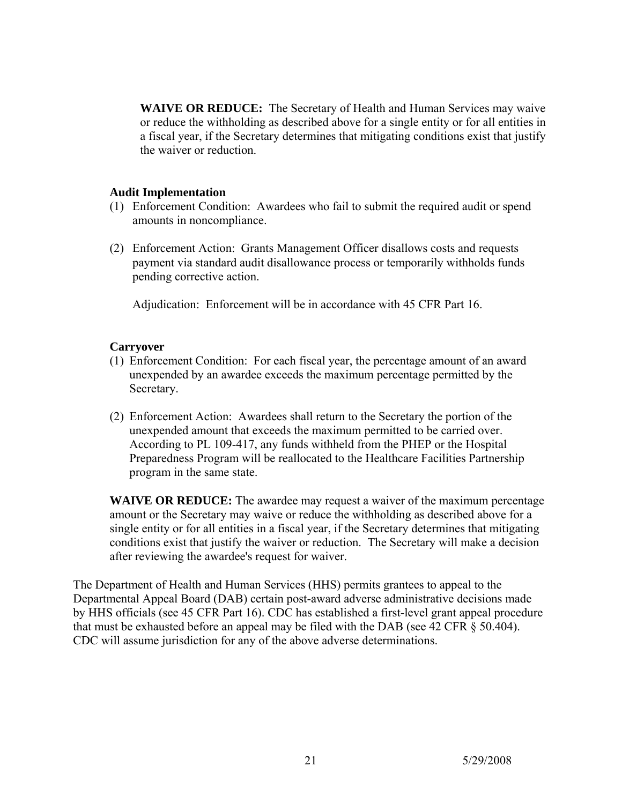**WAIVE OR REDUCE:** The Secretary of Health and Human Services may waive or reduce the withholding as described above for a single entity or for all entities in a fiscal year, if the Secretary determines that mitigating conditions exist that justify the waiver or reduction.

#### **Audit Implementation**

- (1) Enforcement Condition: Awardees who fail to submit the required audit or spend amounts in noncompliance.
- (2) Enforcement Action: Grants Management Officer disallows costs and requests payment via standard audit disallowance process or temporarily withholds funds pending corrective action.

Adjudication: Enforcement will be in accordance with 45 CFR Part 16.

#### **Carryover**

- (1) Enforcement Condition: For each fiscal year, the percentage amount of an award unexpended by an awardee exceeds the maximum percentage permitted by the Secretary.
- (2) Enforcement Action: Awardees shall return to the Secretary the portion of the unexpended amount that exceeds the maximum permitted to be carried over. According to PL 109-417, any funds withheld from the PHEP or the Hospital Preparedness Program will be reallocated to the Healthcare Facilities Partnership program in the same state.

**WAIVE OR REDUCE:** The awardee may request a waiver of the maximum percentage amount or the Secretary may waive or reduce the withholding as described above for a single entity or for all entities in a fiscal year, if the Secretary determines that mitigating conditions exist that justify the waiver or reduction. The Secretary will make a decision after reviewing the awardee's request for waiver.

The Department of Health and Human Services (HHS) permits grantees to appeal to the Departmental Appeal Board (DAB) certain post-award adverse administrative decisions made by HHS officials (see 45 CFR Part 16). CDC has established a first-level grant appeal procedure that must be exhausted before an appeal may be filed with the DAB (see 42 CFR § 50.404). CDC will assume jurisdiction for any of the above adverse determinations.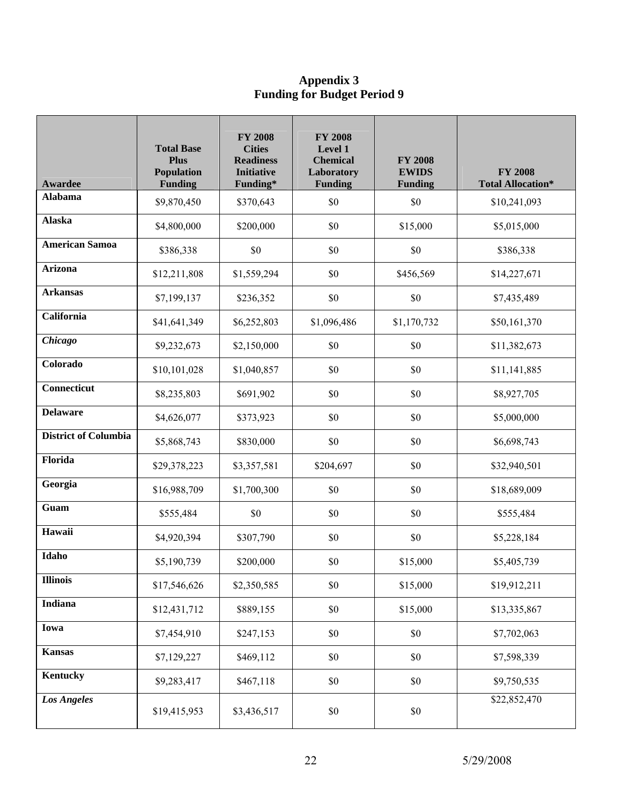#### **Appendix 3 Funding for Budget Period 9**

| <b>Awardee</b>              | <b>Total Base</b><br><b>Plus</b><br>Population<br><b>Funding</b> | <b>FY 2008</b><br><b>Cities</b><br><b>Readiness</b><br><b>Initiative</b><br>Funding* | <b>FY 2008</b><br>Level 1<br><b>Chemical</b><br>Laboratory<br><b>Funding</b> | <b>FY 2008</b><br><b>EWIDS</b><br><b>Funding</b> | <b>FY 2008</b><br><b>Total Allocation*</b> |
|-----------------------------|------------------------------------------------------------------|--------------------------------------------------------------------------------------|------------------------------------------------------------------------------|--------------------------------------------------|--------------------------------------------|
| <b>Alabama</b>              | \$9,870,450                                                      | \$370,643                                                                            | \$0                                                                          | \$0                                              | \$10,241,093                               |
| <b>Alaska</b>               | \$4,800,000                                                      | \$200,000                                                                            | \$0                                                                          | \$15,000                                         | \$5,015,000                                |
| <b>American Samoa</b>       | \$386,338                                                        | \$0                                                                                  | \$0                                                                          | \$0                                              | \$386,338                                  |
| <b>Arizona</b>              | \$12,211,808                                                     | \$1,559,294                                                                          | \$0                                                                          | \$456,569                                        | \$14,227,671                               |
| <b>Arkansas</b>             | \$7,199,137                                                      | \$236,352                                                                            | \$0                                                                          | \$0                                              | \$7,435,489                                |
| California                  | \$41,641,349                                                     | \$6,252,803                                                                          | \$1,096,486                                                                  | \$1,170,732                                      | \$50,161,370                               |
| Chicago                     | \$9,232,673                                                      | \$2,150,000                                                                          | \$0                                                                          | \$0                                              | \$11,382,673                               |
| Colorado                    | \$10,101,028                                                     | \$1,040,857                                                                          | \$0                                                                          | \$0                                              | \$11,141,885                               |
| Connecticut                 | \$8,235,803                                                      | \$691,902                                                                            | \$0                                                                          | \$0                                              | \$8,927,705                                |
| <b>Delaware</b>             | \$4,626,077                                                      | \$373,923                                                                            | \$0                                                                          | \$0                                              | \$5,000,000                                |
| <b>District of Columbia</b> | \$5,868,743                                                      | \$830,000                                                                            | \$0                                                                          | \$0                                              | \$6,698,743                                |
| Florida                     | \$29,378,223                                                     | \$3,357,581                                                                          | \$204,697                                                                    | \$0                                              | \$32,940,501                               |
| Georgia                     | \$16,988,709                                                     | \$1,700,300                                                                          | \$0                                                                          | \$0                                              | \$18,689,009                               |
| Guam                        | \$555,484                                                        | \$0                                                                                  | \$0                                                                          | \$0                                              | \$555,484                                  |
| Hawaii                      | \$4,920,394                                                      | \$307,790                                                                            | \$0                                                                          | \$0                                              | \$5,228,184                                |
| Idaho                       | \$5,190,739                                                      | \$200,000                                                                            | $\$0$                                                                        | \$15,000                                         | \$5,405,739                                |
| <b>Illinois</b>             | \$17,546,626                                                     | \$2,350,585                                                                          | \$0                                                                          | \$15,000                                         | \$19,912,211                               |
| Indiana                     | \$12,431,712                                                     | \$889,155                                                                            | $\$0$                                                                        | \$15,000                                         | \$13,335,867                               |
| Iowa                        | \$7,454,910                                                      | \$247,153                                                                            | \$0                                                                          | $\$0$                                            | \$7,702,063                                |
| <b>Kansas</b>               | \$7,129,227                                                      | \$469,112                                                                            | \$0                                                                          | $\$0$                                            | \$7,598,339                                |
| Kentucky                    | \$9,283,417                                                      | \$467,118                                                                            | \$0                                                                          | \$0                                              | \$9,750,535                                |
| <b>Los Angeles</b>          | \$19,415,953                                                     | \$3,436,517                                                                          | $\$0$                                                                        | $\$0$                                            | \$22,852,470                               |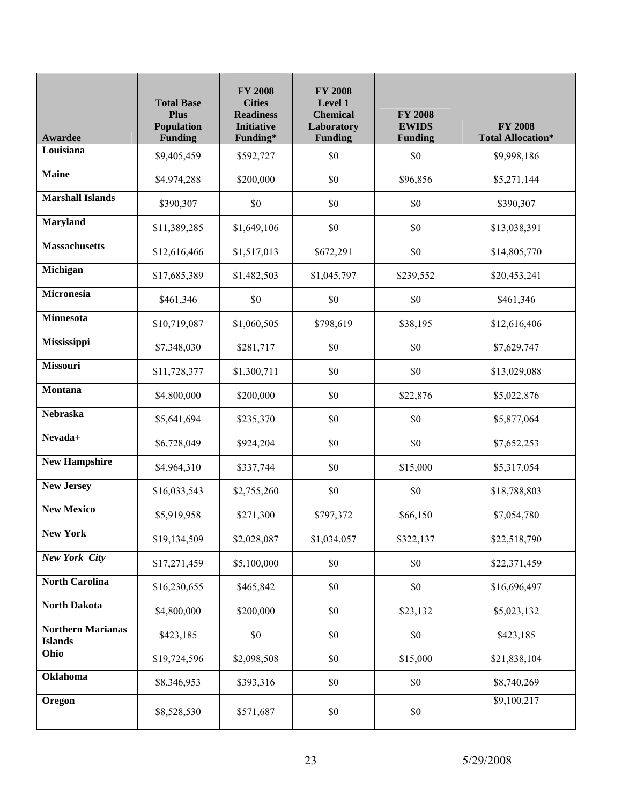| Awardee                                    | <b>Total Base</b><br><b>Plus</b><br><b>Population</b><br><b>Funding</b> | <b>FY 2008</b><br><b>Cities</b><br><b>Readiness</b><br><b>Initiative</b><br>Funding* | <b>FY 2008</b><br>Level 1<br><b>Chemical</b><br>Laboratory<br><b>Funding</b> | <b>FY 2008</b><br><b>EWIDS</b><br><b>Funding</b> | <b>FY 2008</b><br><b>Total Allocation*</b> |
|--------------------------------------------|-------------------------------------------------------------------------|--------------------------------------------------------------------------------------|------------------------------------------------------------------------------|--------------------------------------------------|--------------------------------------------|
| Louisiana                                  | \$9,405,459                                                             | \$592,727                                                                            | \$0                                                                          | \$0                                              | \$9,998,186                                |
| <b>Maine</b>                               | \$4,974,288                                                             | \$200,000                                                                            | \$0                                                                          | \$96,856                                         | \$5,271,144                                |
| <b>Marshall Islands</b>                    | \$390,307                                                               | \$0                                                                                  | \$0                                                                          | \$0                                              | \$390,307                                  |
| <b>Maryland</b>                            | \$11,389,285                                                            | \$1,649,106                                                                          | \$0                                                                          | \$0                                              | \$13,038,391                               |
| <b>Massachusetts</b>                       | \$12,616,466                                                            | \$1,517,013                                                                          | \$672,291                                                                    | \$0                                              | \$14,805,770                               |
| Michigan                                   | \$17,685,389                                                            | \$1,482,503                                                                          | \$1,045,797                                                                  | \$239,552                                        | \$20,453,241                               |
| Micronesia                                 | \$461,346                                                               | \$0                                                                                  | \$0                                                                          | \$0                                              | \$461,346                                  |
| <b>Minnesota</b>                           | \$10,719,087                                                            | \$1,060,505                                                                          | \$798,619                                                                    | \$38,195                                         | \$12,616,406                               |
| Mississippi                                | \$7,348,030                                                             | \$281,717                                                                            | \$0                                                                          | \$0                                              | \$7,629,747                                |
| Missouri                                   | \$11,728,377                                                            | \$1,300,711                                                                          | \$0                                                                          | \$0                                              | \$13,029,088                               |
| <b>Montana</b>                             | \$4,800,000                                                             | \$200,000                                                                            | \$0                                                                          | \$22,876                                         | \$5,022,876                                |
| <b>Nebraska</b>                            | \$5,641,694                                                             | \$235,370                                                                            | \$0                                                                          | \$0                                              | \$5,877,064                                |
| Nevada+                                    | \$6,728,049                                                             | \$924,204                                                                            | \$0                                                                          | \$0                                              | \$7,652,253                                |
| <b>New Hampshire</b>                       | \$4,964,310                                                             | \$337,744                                                                            | \$0                                                                          | \$15,000                                         | \$5,317,054                                |
| <b>New Jersey</b>                          | \$16,033,543                                                            | \$2,755,260                                                                          | \$0                                                                          | \$0                                              | \$18,788,803                               |
| <b>New Mexico</b>                          | \$5,919,958                                                             | \$271,300                                                                            | \$797,372                                                                    | \$66,150                                         | \$7,054,780                                |
| <b>New York</b>                            | \$19,134,509                                                            | \$2,028,087                                                                          | \$1,034,057                                                                  | \$322,137                                        | \$22,518,790                               |
| <b>New York City</b>                       | \$17,271,459                                                            | \$5,100,000                                                                          | $\$0$                                                                        | \$0                                              | \$22,371,459                               |
| <b>North Carolina</b>                      | \$16,230,655                                                            | \$465,842                                                                            | $\$0$                                                                        | \$0                                              | \$16,696,497                               |
| <b>North Dakota</b>                        | \$4,800,000                                                             | \$200,000                                                                            | $\$0$                                                                        | \$23,132                                         | \$5,023,132                                |
| <b>Northern Marianas</b><br><b>Islands</b> | \$423,185                                                               | \$0                                                                                  | $\$0$                                                                        | \$0                                              | \$423,185                                  |
| Ohio                                       | \$19,724,596                                                            | \$2,098,508                                                                          | $\$0$                                                                        | \$15,000                                         | \$21,838,104                               |
| <b>Oklahoma</b>                            | \$8,346,953                                                             | \$393,316                                                                            | $\$0$                                                                        | \$0                                              | \$8,740,269                                |
| Oregon                                     | \$8,528,530                                                             | \$571,687                                                                            | \$0                                                                          | \$0                                              | \$9,100,217                                |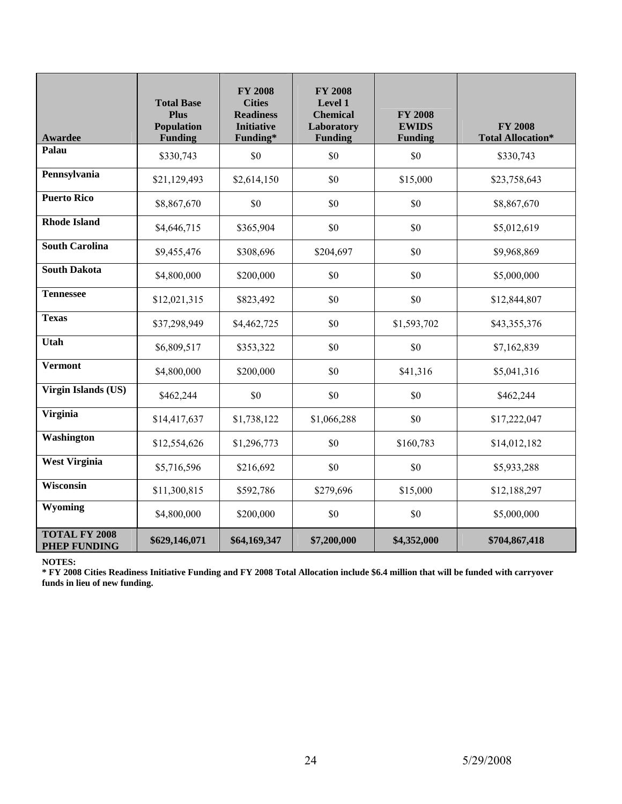| <b>Awardee</b>                              | <b>Total Base</b><br><b>Plus</b><br><b>Population</b><br><b>Funding</b> | <b>FY 2008</b><br><b>Cities</b><br><b>Readiness</b><br><b>Initiative</b><br>Funding* | <b>FY 2008</b><br>Level 1<br><b>Chemical</b><br>Laboratory<br><b>Funding</b> | <b>FY 2008</b><br><b>EWIDS</b><br><b>Funding</b> | <b>FY 2008</b><br><b>Total Allocation*</b> |
|---------------------------------------------|-------------------------------------------------------------------------|--------------------------------------------------------------------------------------|------------------------------------------------------------------------------|--------------------------------------------------|--------------------------------------------|
| Palau                                       | \$330,743                                                               | \$0                                                                                  | \$0                                                                          | \$0                                              | \$330,743                                  |
| Pennsylvania                                | \$21,129,493                                                            | \$2,614,150                                                                          | \$0                                                                          | \$15,000                                         | \$23,758,643                               |
| <b>Puerto Rico</b>                          | \$8,867,670                                                             | \$0                                                                                  | \$0                                                                          | \$0                                              | \$8,867,670                                |
| <b>Rhode Island</b>                         | \$4,646,715                                                             | \$365,904                                                                            | \$0                                                                          | \$0                                              | \$5,012,619                                |
| <b>South Carolina</b>                       | \$9,455,476                                                             | \$308,696                                                                            | \$204,697                                                                    | \$0                                              | \$9,968,869                                |
| <b>South Dakota</b>                         | \$4,800,000                                                             | \$200,000                                                                            | \$0                                                                          | \$0                                              | \$5,000,000                                |
| <b>Tennessee</b>                            | \$12,021,315                                                            | \$823,492                                                                            | \$0                                                                          | \$0                                              | \$12,844,807                               |
| <b>Texas</b>                                | \$37,298,949                                                            | \$4,462,725                                                                          | \$0                                                                          | \$1,593,702                                      | \$43,355,376                               |
| <b>Utah</b>                                 | \$6,809,517                                                             | \$353,322                                                                            | \$0                                                                          | \$0                                              | \$7,162,839                                |
| <b>Vermont</b>                              | \$4,800,000                                                             | \$200,000                                                                            | \$0                                                                          | \$41,316                                         | \$5,041,316                                |
| <b>Virgin Islands (US)</b>                  | \$462,244                                                               | \$0                                                                                  | \$0                                                                          | \$0                                              | \$462,244                                  |
| <b>Virginia</b>                             | \$14,417,637                                                            | \$1,738,122                                                                          | \$1,066,288                                                                  | \$0                                              | \$17,222,047                               |
| Washington                                  | \$12,554,626                                                            | \$1,296,773                                                                          | \$0                                                                          | \$160,783                                        | \$14,012,182                               |
| <b>West Virginia</b>                        | \$5,716,596                                                             | \$216,692                                                                            | \$0                                                                          | \$0                                              | \$5,933,288                                |
| <b>Wisconsin</b>                            | \$11,300,815                                                            | \$592,786                                                                            | \$279,696                                                                    | \$15,000                                         | \$12,188,297                               |
| Wyoming                                     | \$4,800,000                                                             | \$200,000                                                                            | \$0                                                                          | \$0                                              | \$5,000,000                                |
| <b>TOTAL FY 2008</b><br><b>PHEP FUNDING</b> | \$629,146,071                                                           | \$64,169,347                                                                         | \$7,200,000                                                                  | \$4,352,000                                      | \$704,867,418                              |

**NOTES:** 

**\* FY 2008 Cities Readiness Initiative Funding and FY 2008 Total Allocation include \$6.4 million that will be funded with carryover funds in lieu of new funding.**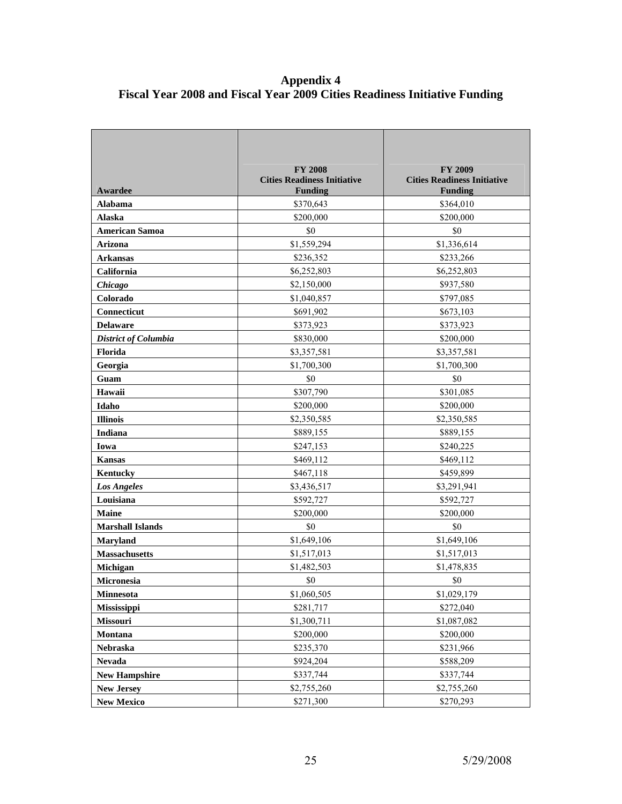#### **Appendix 4 Fiscal Year 2008 and Fiscal Year 2009 Cities Readiness Initiative Funding**

| Awardee                 | <b>FY 2008</b><br><b>Cities Readiness Initiative</b><br><b>Funding</b> | <b>FY 2009</b><br><b>Cities Readiness Initiative</b><br><b>Funding</b> |
|-------------------------|------------------------------------------------------------------------|------------------------------------------------------------------------|
| Alabama                 | \$370,643                                                              | \$364,010                                                              |
| Alaska                  | \$200,000                                                              | \$200,000                                                              |
| <b>American Samoa</b>   | \$0                                                                    | \$0                                                                    |
| Arizona                 | \$1,559,294                                                            | \$1,336,614                                                            |
| <b>Arkansas</b>         | \$236,352                                                              | \$233,266                                                              |
| California              | \$6,252,803                                                            | \$6,252,803                                                            |
| Chicago                 | \$2,150,000                                                            | \$937,580                                                              |
| Colorado                | \$1,040,857                                                            | \$797,085                                                              |
| Connecticut             | \$691,902                                                              | \$673,103                                                              |
| <b>Delaware</b>         | \$373,923                                                              | \$373,923                                                              |
| District of Columbia    | \$830,000                                                              | \$200,000                                                              |
| <b>Florida</b>          | \$3,357,581                                                            | \$3,357,581                                                            |
| Georgia                 | \$1,700,300                                                            | \$1,700,300                                                            |
| Guam                    | \$0                                                                    | \$0                                                                    |
| Hawaii                  | \$307,790                                                              | \$301,085                                                              |
| Idaho                   | \$200,000                                                              | \$200,000                                                              |
| <b>Illinois</b>         | \$2,350,585                                                            | \$2,350,585                                                            |
| Indiana                 | \$889,155                                                              | \$889,155                                                              |
| Iowa                    | \$247,153                                                              | \$240,225                                                              |
| <b>Kansas</b>           | \$469,112                                                              | \$469,112                                                              |
| <b>Kentucky</b>         | \$467,118                                                              | \$459,899                                                              |
| <b>Los Angeles</b>      | \$3,436,517                                                            | \$3,291,941                                                            |
| Louisiana               | \$592,727                                                              | \$592,727                                                              |
| <b>Maine</b>            | \$200,000                                                              | \$200,000                                                              |
| <b>Marshall Islands</b> | \$0                                                                    | \$0                                                                    |
| <b>Maryland</b>         | \$1,649,106                                                            | \$1,649,106                                                            |
| <b>Massachusetts</b>    | \$1,517,013                                                            | \$1,517,013                                                            |
| Michigan                | \$1,482,503                                                            | \$1,478,835                                                            |
| <b>Micronesia</b>       | \$0                                                                    | \$0                                                                    |
| Minnesota               | \$1,060,505                                                            | \$1,029,179                                                            |
| Mississippi             | \$281,717                                                              | \$272,040                                                              |
| Missouri                | \$1,300,711                                                            | \$1,087,082                                                            |
| Montana                 | \$200,000                                                              | \$200,000                                                              |
| Nebraska                | \$235,370                                                              | \$231,966                                                              |
| <b>Nevada</b>           | \$924,204                                                              | \$588,209                                                              |
| <b>New Hampshire</b>    | \$337,744                                                              | \$337,744                                                              |
| <b>New Jersey</b>       | \$2,755,260                                                            | \$2,755,260                                                            |
| <b>New Mexico</b>       | \$271,300                                                              | \$270,293                                                              |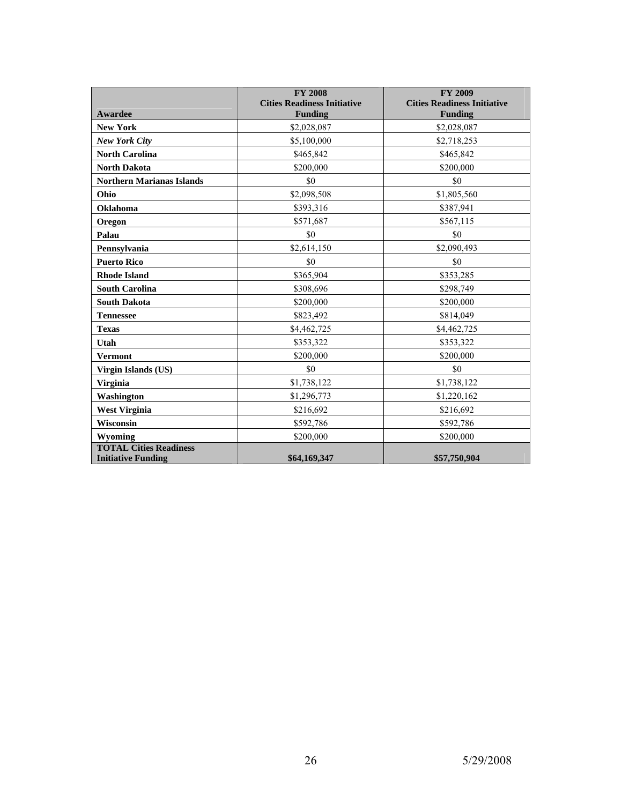|                                  | <b>FY 2008</b>                     | <b>FY 2009</b>                     |
|----------------------------------|------------------------------------|------------------------------------|
|                                  | <b>Cities Readiness Initiative</b> | <b>Cities Readiness Initiative</b> |
| Awardee                          | <b>Funding</b>                     | <b>Funding</b>                     |
| <b>New York</b>                  | \$2,028,087                        | \$2,028,087                        |
| <b>New York City</b>             | \$5,100,000                        | \$2,718,253                        |
| <b>North Carolina</b>            | \$465,842                          | \$465,842                          |
| <b>North Dakota</b>              | \$200,000                          | \$200,000                          |
| <b>Northern Marianas Islands</b> | \$0                                | \$0                                |
| Ohio                             | \$2,098,508                        | \$1,805,560                        |
| Oklahoma                         | \$393,316                          | \$387,941                          |
| Oregon                           | \$571,687                          | \$567,115                          |
| Palau                            | \$0                                | \$0                                |
| Pennsylvania                     | \$2,614,150                        | \$2,090,493                        |
| <b>Puerto Rico</b>               | \$0                                | \$0                                |
| <b>Rhode Island</b>              | \$365,904                          | \$353,285                          |
| <b>South Carolina</b>            | \$308,696                          | \$298,749                          |
| <b>South Dakota</b>              | \$200,000                          | \$200,000                          |
| <b>Tennessee</b>                 | \$823,492                          | \$814,049                          |
| <b>Texas</b>                     | \$4,462,725                        | \$4,462,725                        |
| Utah                             | \$353,322                          | \$353,322                          |
| <b>Vermont</b>                   | \$200,000                          | \$200,000                          |
| Virgin Islands (US)              | \$0                                | \$0                                |
| <b>Virginia</b>                  | \$1,738,122                        | \$1,738,122                        |
| Washington                       | \$1,296,773                        | \$1,220,162                        |
| <b>West Virginia</b>             | \$216,692                          | \$216,692                          |
| Wisconsin                        | \$592,786                          | \$592,786                          |
| Wyoming                          | \$200,000                          | \$200,000                          |
| <b>TOTAL Cities Readiness</b>    |                                    |                                    |
| <b>Initiative Funding</b>        | \$64,169,347                       | \$57,750,904                       |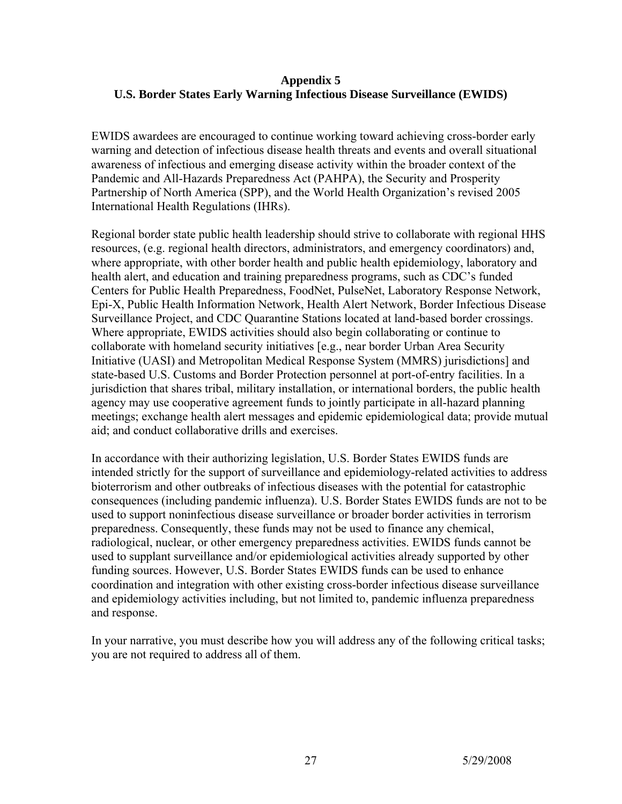## **Appendix 5 U.S. Border States Early Warning Infectious Disease Surveillance (EWIDS)**

EWIDS awardees are encouraged to continue working toward achieving cross-border early warning and detection of infectious disease health threats and events and overall situational awareness of infectious and emerging disease activity within the broader context of the Pandemic and All-Hazards Preparedness Act (PAHPA), the Security and Prosperity Partnership of North America (SPP), and the World Health Organization's revised 2005 International Health Regulations (IHRs).

Regional border state public health leadership should strive to collaborate with regional HHS resources, (e.g. regional health directors, administrators, and emergency coordinators) and, where appropriate, with other border health and public health epidemiology, laboratory and health alert, and education and training preparedness programs, such as CDC's funded Centers for Public Health Preparedness, FoodNet, PulseNet, Laboratory Response Network, Epi-X, Public Health Information Network, Health Alert Network, Border Infectious Disease Surveillance Project, and CDC Quarantine Stations located at land-based border crossings. Where appropriate, EWIDS activities should also begin collaborating or continue to collaborate with homeland security initiatives [e.g., near border Urban Area Security Initiative (UASI) and Metropolitan Medical Response System (MMRS) jurisdictions] and state-based U.S. Customs and Border Protection personnel at port-of-entry facilities. In a jurisdiction that shares tribal, military installation, or international borders, the public health agency may use cooperative agreement funds to jointly participate in all-hazard planning meetings; exchange health alert messages and epidemic epidemiological data; provide mutual aid; and conduct collaborative drills and exercises.

In accordance with their authorizing legislation, U.S. Border States EWIDS funds are intended strictly for the support of surveillance and epidemiology-related activities to address bioterrorism and other outbreaks of infectious diseases with the potential for catastrophic consequences (including pandemic influenza). U.S. Border States EWIDS funds are not to be used to support noninfectious disease surveillance or broader border activities in terrorism preparedness. Consequently, these funds may not be used to finance any chemical, radiological, nuclear, or other emergency preparedness activities. EWIDS funds cannot be used to supplant surveillance and/or epidemiological activities already supported by other funding sources. However, U.S. Border States EWIDS funds can be used to enhance coordination and integration with other existing cross-border infectious disease surveillance and epidemiology activities including, but not limited to, pandemic influenza preparedness and response.

In your narrative, you must describe how you will address any of the following critical tasks; you are not required to address all of them.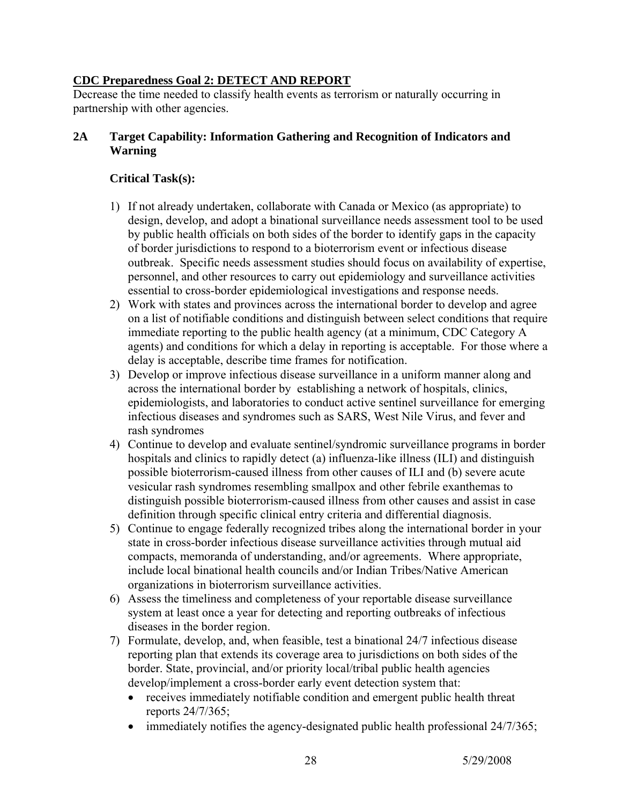# **CDC Preparedness Goal 2: DETECT AND REPORT**

Decrease the time needed to classify health events as terrorism or naturally occurring in partnership with other agencies.

## **2A Target Capability: Information Gathering and Recognition of Indicators and Warning**

## **Critical Task(s):**

- 1) If not already undertaken, collaborate with Canada or Mexico (as appropriate) to design, develop, and adopt a binational surveillance needs assessment tool to be used by public health officials on both sides of the border to identify gaps in the capacity of border jurisdictions to respond to a bioterrorism event or infectious disease outbreak. Specific needs assessment studies should focus on availability of expertise, personnel, and other resources to carry out epidemiology and surveillance activities essential to cross-border epidemiological investigations and response needs.
- 2) Work with states and provinces across the international border to develop and agree on a list of notifiable conditions and distinguish between select conditions that require immediate reporting to the public health agency (at a minimum, CDC Category A agents) and conditions for which a delay in reporting is acceptable. For those where a delay is acceptable, describe time frames for notification.
- 3) Develop or improve infectious disease surveillance in a uniform manner along and across the international border by establishing a network of hospitals, clinics, epidemiologists, and laboratories to conduct active sentinel surveillance for emerging infectious diseases and syndromes such as SARS, West Nile Virus, and fever and rash syndromes
- 4) Continue to develop and evaluate sentinel/syndromic surveillance programs in border hospitals and clinics to rapidly detect (a) influenza-like illness (ILI) and distinguish possible bioterrorism-caused illness from other causes of ILI and (b) severe acute vesicular rash syndromes resembling smallpox and other febrile exanthemas to distinguish possible bioterrorism-caused illness from other causes and assist in case definition through specific clinical entry criteria and differential diagnosis.
- 5) Continue to engage federally recognized tribes along the international border in your state in cross-border infectious disease surveillance activities through mutual aid compacts, memoranda of understanding, and/or agreements. Where appropriate, include local binational health councils and/or Indian Tribes/Native American organizations in bioterrorism surveillance activities.
- 6) Assess the timeliness and completeness of your reportable disease surveillance system at least once a year for detecting and reporting outbreaks of infectious diseases in the border region.
- 7) Formulate, develop, and, when feasible, test a binational 24/7 infectious disease reporting plan that extends its coverage area to jurisdictions on both sides of the border. State, provincial, and/or priority local/tribal public health agencies develop/implement a cross-border early event detection system that:
	- receives immediately notifiable condition and emergent public health threat reports 24/7/365;
	- immediately notifies the agency-designated public health professional  $24/7/365$ ;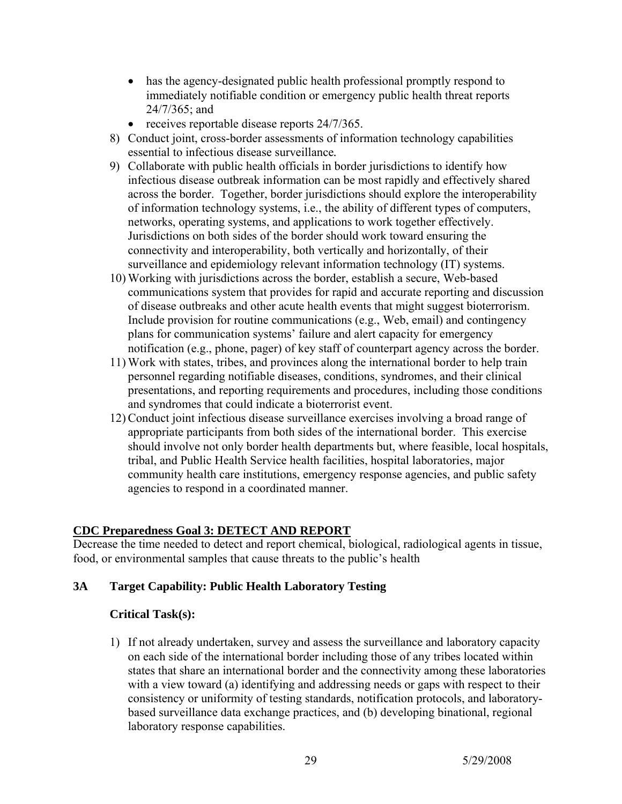- has the agency-designated public health professional promptly respond to immediately notifiable condition or emergency public health threat reports 24/7/365; and
- receives reportable disease reports 24/7/365.
- 8) Conduct joint, cross-border assessments of information technology capabilities essential to infectious disease surveillance*.*
- 9) Collaborate with public health officials in border jurisdictions to identify how infectious disease outbreak information can be most rapidly and effectively shared across the border. Together, border jurisdictions should explore the interoperability of information technology systems, i.e., the ability of different types of computers, networks, operating systems, and applications to work together effectively. Jurisdictions on both sides of the border should work toward ensuring the connectivity and interoperability, both vertically and horizontally, of their surveillance and epidemiology relevant information technology (IT) systems.
- 10) Working with jurisdictions across the border, establish a secure, Web-based communications system that provides for rapid and accurate reporting and discussion of disease outbreaks and other acute health events that might suggest bioterrorism. Include provision for routine communications (e.g., Web, email) and contingency plans for communication systems' failure and alert capacity for emergency notification (e.g., phone, pager) of key staff of counterpart agency across the border.
- 11) Work with states, tribes, and provinces along the international border to help train personnel regarding notifiable diseases, conditions, syndromes, and their clinical presentations, and reporting requirements and procedures, including those conditions and syndromes that could indicate a bioterrorist event.
- 12) Conduct joint infectious disease surveillance exercises involving a broad range of appropriate participants from both sides of the international border. This exercise should involve not only border health departments but, where feasible, local hospitals, tribal, and Public Health Service health facilities, hospital laboratories, major community health care institutions, emergency response agencies, and public safety agencies to respond in a coordinated manner.

## **CDC Preparedness Goal 3: DETECT AND REPORT**

Decrease the time needed to detect and report chemical, biological, radiological agents in tissue, food, or environmental samples that cause threats to the public's health

## **3A Target Capability: Public Health Laboratory Testing**

## **Critical Task(s):**

1) If not already undertaken, survey and assess the surveillance and laboratory capacity on each side of the international border including those of any tribes located within states that share an international border and the connectivity among these laboratories with a view toward (a) identifying and addressing needs or gaps with respect to their consistency or uniformity of testing standards, notification protocols, and laboratorybased surveillance data exchange practices, and (b) developing binational, regional laboratory response capabilities.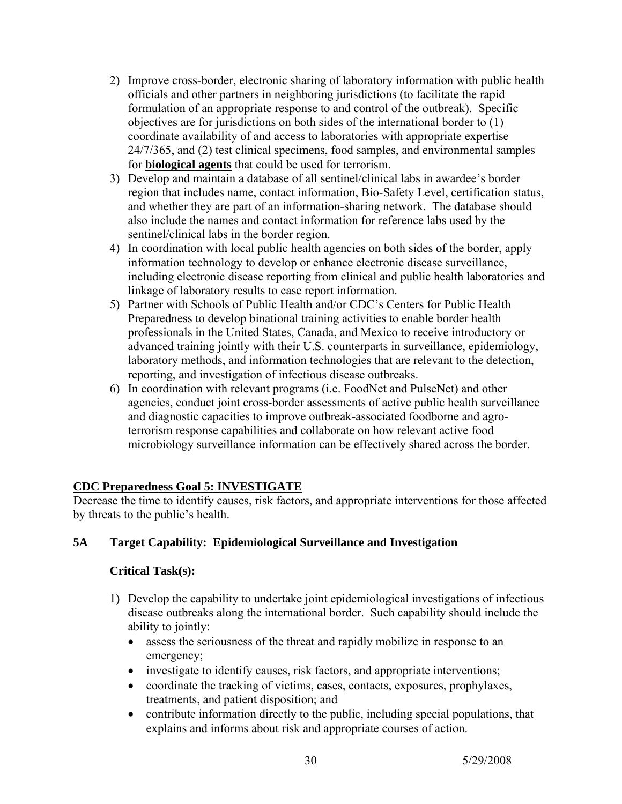- 2) Improve cross-border, electronic sharing of laboratory information with public health officials and other partners in neighboring jurisdictions (to facilitate the rapid formulation of an appropriate response to and control of the outbreak). Specific objectives are for jurisdictions on both sides of the international border to (1) coordinate availability of and access to laboratories with appropriate expertise 24/7/365, and (2) test clinical specimens, food samples, and environmental samples for **biological agents** that could be used for terrorism.
- 3) Develop and maintain a database of all sentinel/clinical labs in awardee's border region that includes name, contact information, Bio-Safety Level, certification status, and whether they are part of an information-sharing network. The database should also include the names and contact information for reference labs used by the sentinel/clinical labs in the border region.
- 4) In coordination with local public health agencies on both sides of the border, apply information technology to develop or enhance electronic disease surveillance, including electronic disease reporting from clinical and public health laboratories and linkage of laboratory results to case report information.
- 5) Partner with Schools of Public Health and/or CDC's Centers for Public Health Preparedness to develop binational training activities to enable border health professionals in the United States, Canada, and Mexico to receive introductory or advanced training jointly with their U.S. counterparts in surveillance, epidemiology, laboratory methods, and information technologies that are relevant to the detection, reporting, and investigation of infectious disease outbreaks.
- 6) In coordination with relevant programs (i.e. FoodNet and PulseNet) and other agencies, conduct joint cross-border assessments of active public health surveillance and diagnostic capacities to improve outbreak-associated foodborne and agroterrorism response capabilities and collaborate on how relevant active food microbiology surveillance information can be effectively shared across the border.

# **CDC Preparedness Goal 5: INVESTIGATE**

Decrease the time to identify causes, risk factors, and appropriate interventions for those affected by threats to the public's health.

# **5A Target Capability: Epidemiological Surveillance and Investigation**

# **Critical Task(s):**

- 1) Develop the capability to undertake joint epidemiological investigations of infectious disease outbreaks along the international border. Such capability should include the ability to jointly:
	- assess the seriousness of the threat and rapidly mobilize in response to an emergency;
	- investigate to identify causes, risk factors, and appropriate interventions;
	- coordinate the tracking of victims, cases, contacts, exposures, prophylaxes, treatments, and patient disposition; and
	- contribute information directly to the public, including special populations, that explains and informs about risk and appropriate courses of action.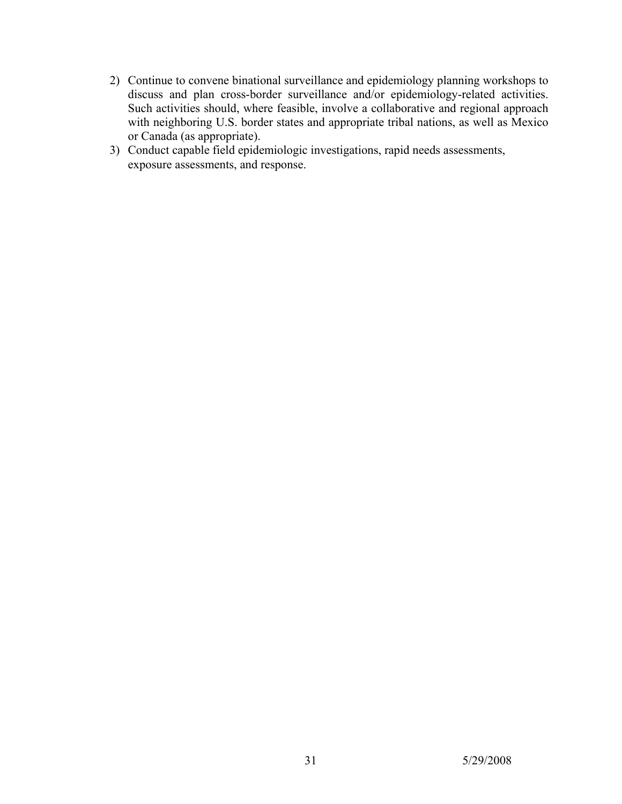- 2) Continue to convene binational surveillance and epidemiology planning workshops to discuss and plan cross-border surveillance and/or epidemiology-related activities. Such activities should, where feasible, involve a collaborative and regional approach with neighboring U.S. border states and appropriate tribal nations, as well as Mexico or Canada (as appropriate).
- 3) Conduct capable field epidemiologic investigations, rapid needs assessments, exposure assessments, and response.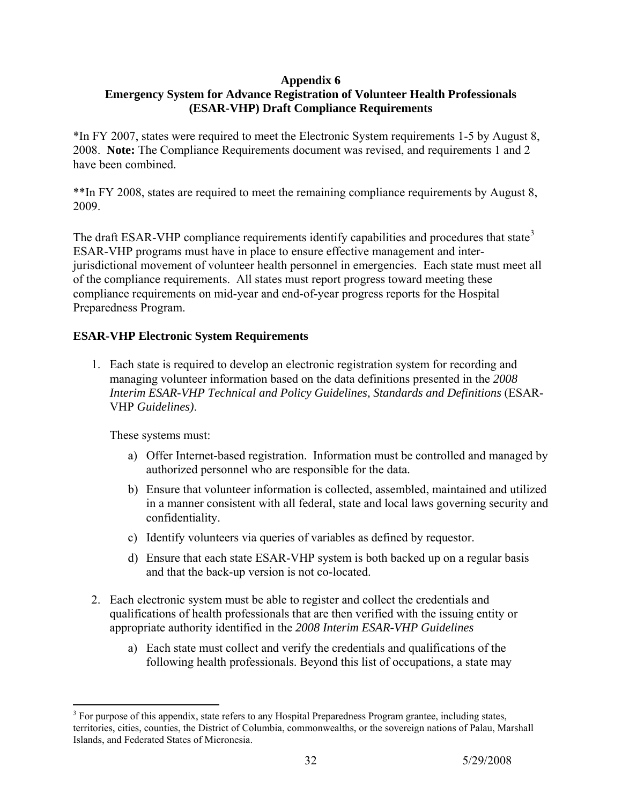#### **Appendix 6**

# **Emergency System for Advance Registration of Volunteer Health Professionals (ESAR-VHP) Draft Compliance Requirements**

\*In FY 2007, states were required to meet the Electronic System requirements 1-5 by August 8, 2008. **Note:** The Compliance Requirements document was revised, and requirements 1 and 2 have been combined.

\*\*In FY 2008, states are required to meet the remaining compliance requirements by August 8, 2009.

The draft ESAR-VHP compliance requirements identify capabilities and procedures that state<sup>[3](#page-31-0)</sup> ESAR-VHP programs must have in place to ensure effective management and interjurisdictional movement of volunteer health personnel in emergencies. Each state must meet all of the compliance requirements. All states must report progress toward meeting these compliance requirements on mid-year and end-of-year progress reports for the Hospital Preparedness Program.

## **ESAR-VHP Electronic System Requirements**

1. Each state is required to develop an electronic registration system for recording and managing volunteer information based on the data definitions presented in the *2008 Interim ESAR-VHP Technical and Policy Guidelines, Standards and Definitions* (ESAR-VHP *Guidelines)*.

These systems must:

- a) Offer Internet-based registration. Information must be controlled and managed by authorized personnel who are responsible for the data.
- b) Ensure that volunteer information is collected, assembled, maintained and utilized in a manner consistent with all federal, state and local laws governing security and confidentiality.
- c) Identify volunteers via queries of variables as defined by requestor.
- d) Ensure that each state ESAR-VHP system is both backed up on a regular basis and that the back-up version is not co-located.
- 2. Each electronic system must be able to register and collect the credentials and qualifications of health professionals that are then verified with the issuing entity or appropriate authority identified in the *2008 Interim ESAR-VHP Guidelines*
	- a) Each state must collect and verify the credentials and qualifications of the following health professionals. Beyond this list of occupations, a state may

<span id="page-31-0"></span><sup>&</sup>lt;sup>3</sup> For purpose of this appendix, state refers to any Hospital Preparedness Program grantee, including states, territories, cities, counties, the District of Columbia, commonwealths, or the sovereign nations of Palau, Marshall Islands, and Federated States of Micronesia.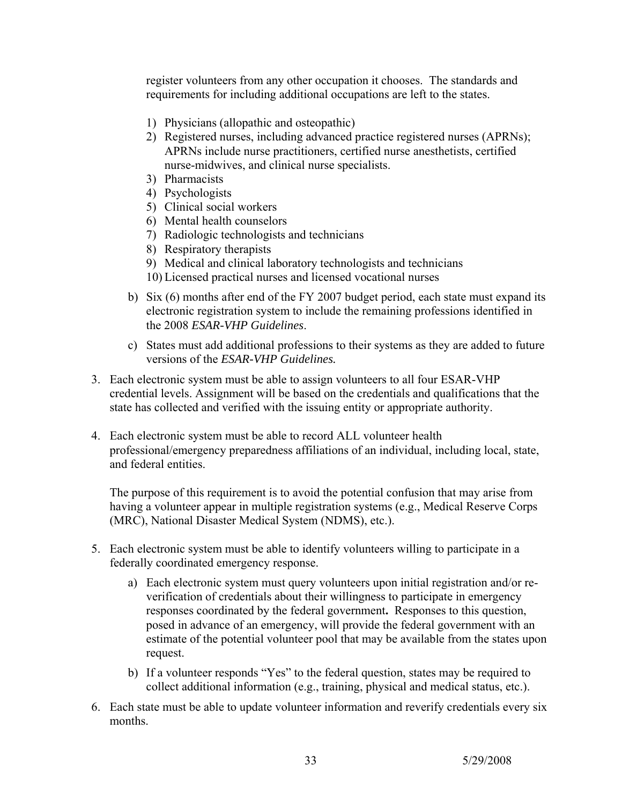register volunteers from any other occupation it chooses. The standards and requirements for including additional occupations are left to the states.

- 1) Physicians (allopathic and osteopathic)
- 2) Registered nurses, including advanced practice registered nurses (APRNs); APRNs include nurse practitioners, certified nurse anesthetists, certified nurse-midwives, and clinical nurse specialists.
- 3) Pharmacists
- 4) Psychologists
- 5) Clinical social workers
- 6) Mental health counselors
- 7) Radiologic technologists and technicians
- 8) Respiratory therapists
- 9) Medical and clinical laboratory technologists and technicians
- 10) Licensed practical nurses and licensed vocational nurses
- b) Six (6) months after end of the FY 2007 budget period, each state must expand its electronic registration system to include the remaining professions identified in the 2008 *ESAR-VHP Guidelines*.
- c) States must add additional professions to their systems as they are added to future versions of the *ESAR-VHP Guidelines.*
- 3. Each electronic system must be able to assign volunteers to all four ESAR-VHP credential levels. Assignment will be based on the credentials and qualifications that the state has collected and verified with the issuing entity or appropriate authority.
- 4. Each electronic system must be able to record ALL volunteer health professional/emergency preparedness affiliations of an individual, including local, state, and federal entities.

The purpose of this requirement is to avoid the potential confusion that may arise from having a volunteer appear in multiple registration systems (e.g., Medical Reserve Corps (MRC), National Disaster Medical System (NDMS), etc.).

- 5. Each electronic system must be able to identify volunteers willing to participate in a federally coordinated emergency response.
	- a) Each electronic system must query volunteers upon initial registration and/or reverification of credentials about their willingness to participate in emergency responses coordinated by the federal government**.** Responses to this question, posed in advance of an emergency, will provide the federal government with an estimate of the potential volunteer pool that may be available from the states upon request.
	- b) If a volunteer responds "Yes" to the federal question, states may be required to collect additional information (e.g., training, physical and medical status, etc.).
- 6. Each state must be able to update volunteer information and reverify credentials every six months.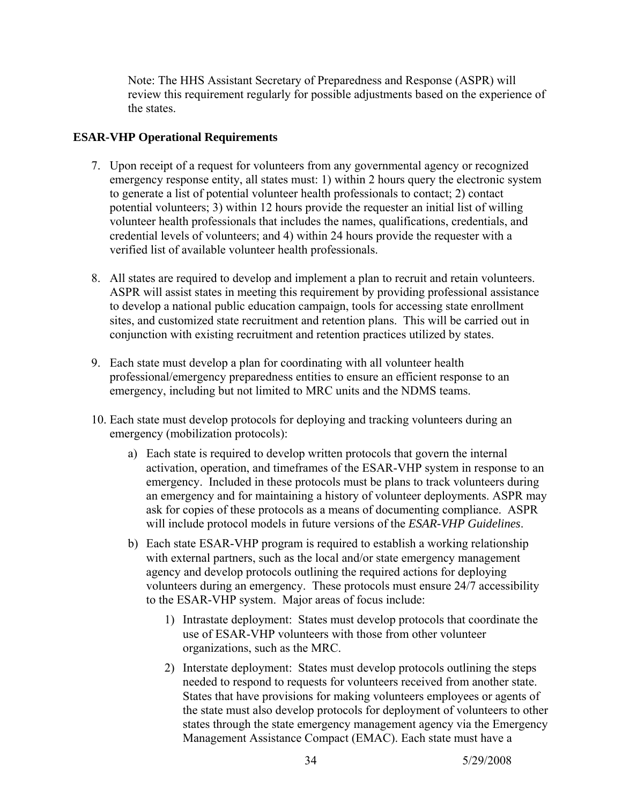Note: The HHS Assistant Secretary of Preparedness and Response (ASPR) will review this requirement regularly for possible adjustments based on the experience of the states.

## **ESAR-VHP Operational Requirements**

- 7. Upon receipt of a request for volunteers from any governmental agency or recognized emergency response entity, all states must: 1) within 2 hours query the electronic system to generate a list of potential volunteer health professionals to contact; 2) contact potential volunteers; 3) within 12 hours provide the requester an initial list of willing volunteer health professionals that includes the names, qualifications, credentials, and credential levels of volunteers; and 4) within 24 hours provide the requester with a verified list of available volunteer health professionals.
- 8. All states are required to develop and implement a plan to recruit and retain volunteers. ASPR will assist states in meeting this requirement by providing professional assistance to develop a national public education campaign, tools for accessing state enrollment sites, and customized state recruitment and retention plans. This will be carried out in conjunction with existing recruitment and retention practices utilized by states.
- 9. Each state must develop a plan for coordinating with all volunteer health professional/emergency preparedness entities to ensure an efficient response to an emergency, including but not limited to MRC units and the NDMS teams.
- 10. Each state must develop protocols for deploying and tracking volunteers during an emergency (mobilization protocols):
	- a) Each state is required to develop written protocols that govern the internal activation, operation, and timeframes of the ESAR-VHP system in response to an emergency. Included in these protocols must be plans to track volunteers during an emergency and for maintaining a history of volunteer deployments. ASPR may ask for copies of these protocols as a means of documenting compliance. ASPR will include protocol models in future versions of the *ESAR-VHP Guidelines*.
	- b) Each state ESAR-VHP program is required to establish a working relationship with external partners, such as the local and/or state emergency management agency and develop protocols outlining the required actions for deploying volunteers during an emergency. These protocols must ensure 24/7 accessibility to the ESAR-VHP system. Major areas of focus include:
		- 1) Intrastate deployment: States must develop protocols that coordinate the use of ESAR-VHP volunteers with those from other volunteer organizations, such as the MRC.
		- 2) Interstate deployment: States must develop protocols outlining the steps needed to respond to requests for volunteers received from another state. States that have provisions for making volunteers employees or agents of the state must also develop protocols for deployment of volunteers to other states through the state emergency management agency via the Emergency Management Assistance Compact (EMAC). Each state must have a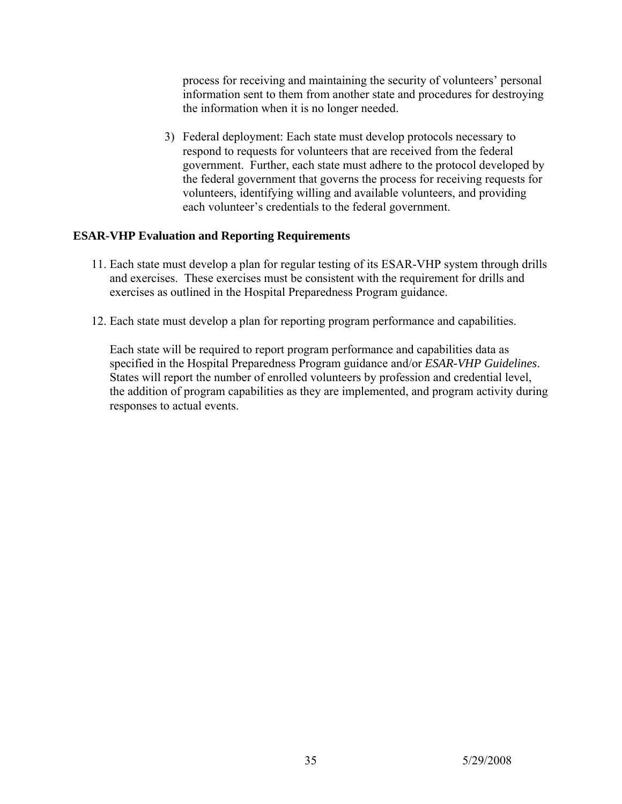process for receiving and maintaining the security of volunteers' personal information sent to them from another state and procedures for destroying the information when it is no longer needed.

3)Federal deployment: Each state must develop protocols necessary to respond to requests for volunteers that are received from the federal government. Further, each state must adhere to the protocol developed by the federal government that governs the process for receiving requests for volunteers, identifying willing and available volunteers, and providing each volunteer's credentials to the federal government.

#### **ESAR-VHP Evaluation and Reporting Requirements**

- 11. Each state must develop a plan for regular testing of its ESAR-VHP system through drills and exercises. These exercises must be consistent with the requirement for drills and exercises as outlined in the Hospital Preparedness Program guidance.
- 12. Each state must develop a plan for reporting program performance and capabilities.

Each state will be required to report program performance and capabilities data as specified in the Hospital Preparedness Program guidance and/or *ESAR-VHP Guidelines*. States will report the number of enrolled volunteers by profession and credential level, the addition of program capabilities as they are implemented, and program activity during responses to actual events.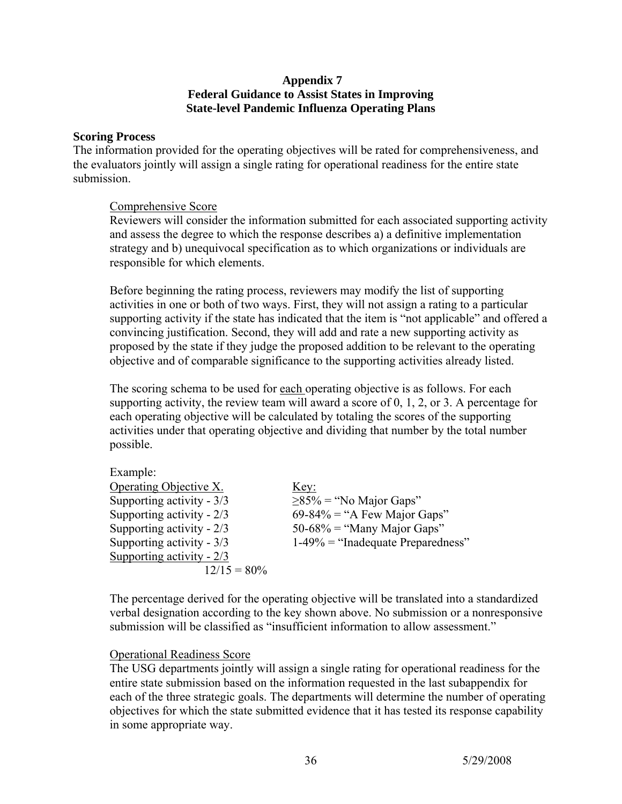#### **Appendix 7 Federal Guidance to Assist States in Improving State-level Pandemic Influenza Operating Plans**

#### **Scoring Process**

The information provided for the operating objectives will be rated for comprehensiveness, and the evaluators jointly will assign a single rating for operational readiness for the entire state submission.

#### Comprehensive Score

Reviewers will consider the information submitted for each associated supporting activity and assess the degree to which the response describes a) a definitive implementation strategy and b) unequivocal specification as to which organizations or individuals are responsible for which elements.

Before beginning the rating process, reviewers may modify the list of supporting activities in one or both of two ways. First, they will not assign a rating to a particular supporting activity if the state has indicated that the item is "not applicable" and offered a convincing justification. Second, they will add and rate a new supporting activity as proposed by the state if they judge the proposed addition to be relevant to the operating objective and of comparable significance to the supporting activities already listed.

The scoring schema to be used for each operating objective is as follows. For each supporting activity, the review team will award a score of 0, 1, 2, or 3. A percentage for each operating objective will be calculated by totaling the scores of the supporting activities under that operating objective and dividing that number by the total number possible.

| Example:                  |                                      |
|---------------------------|--------------------------------------|
| Operating Objective X.    | Key:                                 |
| Supporting activity - 3/3 | $\geq$ 85% = "No Major Gaps"         |
| Supporting activity - 2/3 | $69-84\% =$ "A Few Major Gaps"       |
| Supporting activity - 2/3 | $50-68\%$ = "Many Major Gaps"        |
| Supporting activity - 3/3 | $1-49\%$ = "Inadequate Preparedness" |
| Supporting activity - 2/3 |                                      |
| $12/15 = 80\%$            |                                      |

The percentage derived for the operating objective will be translated into a standardized verbal designation according to the key shown above. No submission or a nonresponsive submission will be classified as "insufficient information to allow assessment."

#### Operational Readiness Score

The USG departments jointly will assign a single rating for operational readiness for the entire state submission based on the information requested in the last subappendix for each of the three strategic goals. The departments will determine the number of operating objectives for which the state submitted evidence that it has tested its response capability in some appropriate way.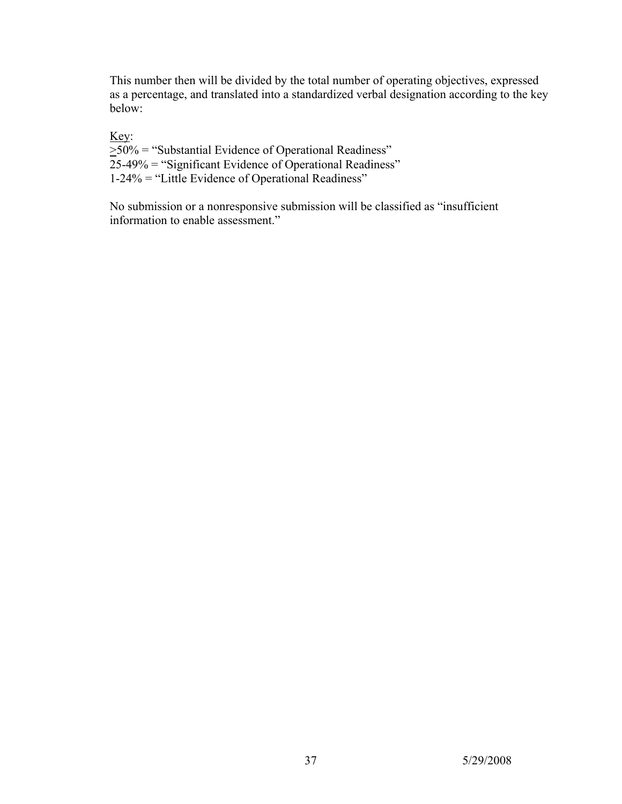This number then will be divided by the total number of operating objectives, expressed as a percentage, and translated into a standardized verbal designation according to the key below:

Key:  $\geq$ 50% = "Substantial Evidence of Operational Readiness" 25-49% = "Significant Evidence of Operational Readiness" 1-24% = "Little Evidence of Operational Readiness"

No submission or a nonresponsive submission will be classified as "insufficient information to enable assessment."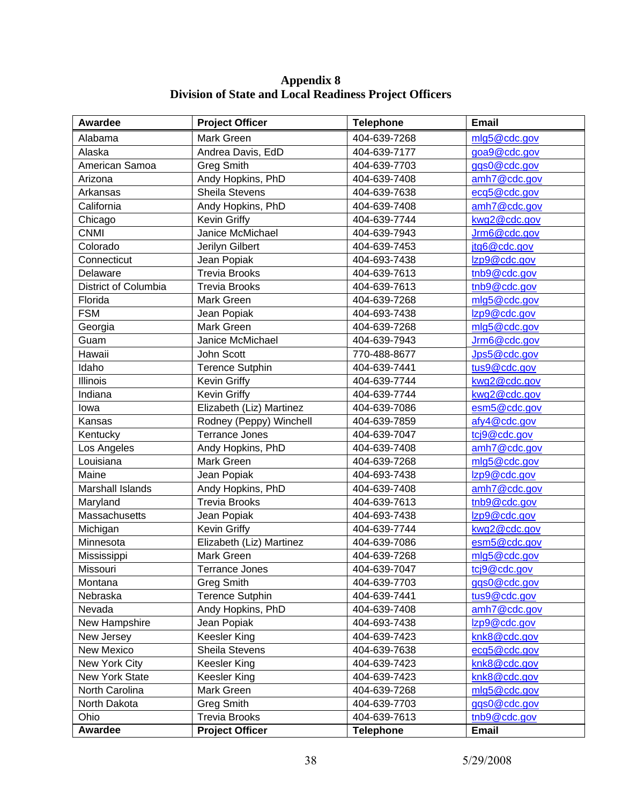| Awardee              | <b>Project Officer</b>   | <b>Telephone</b> | <b>Email</b> |
|----------------------|--------------------------|------------------|--------------|
| Alabama              | Mark Green               | 404-639-7268     | mlg5@cdc.gov |
| Alaska               | Andrea Davis, EdD        | 404-639-7177     | goa9@cdc.gov |
| American Samoa       | <b>Greg Smith</b>        | 404-639-7703     | ggs0@cdc.gov |
| Arizona              | Andy Hopkins, PhD        | 404-639-7408     | amh7@cdc.gov |
| Arkansas             | Sheila Stevens           | 404-639-7638     | ecq5@cdc.gov |
| California           | Andy Hopkins, PhD        | 404-639-7408     | amh7@cdc.gov |
| Chicago              | Kevin Griffy             | 404-639-7744     | kwg2@cdc.gov |
| <b>CNMI</b>          | Janice McMichael         | 404-639-7943     | Jrm6@cdc.gov |
| Colorado             | Jerilyn Gilbert          | 404-639-7453     | jtg6@cdc.gov |
| Connecticut          | Jean Popiak              | 404-693-7438     | Izp9@cdc.gov |
| Delaware             | <b>Trevia Brooks</b>     | 404-639-7613     | tnb9@cdc.gov |
| District of Columbia | <b>Trevia Brooks</b>     | 404-639-7613     | tnb9@cdc.gov |
| Florida              | Mark Green               | 404-639-7268     | mlg5@cdc.gov |
| <b>FSM</b>           | Jean Popiak              | 404-693-7438     | Izp9@cdc.gov |
| Georgia              | Mark Green               | 404-639-7268     | mlg5@cdc.gov |
| Guam                 | Janice McMichael         | 404-639-7943     | Jrm6@cdc.gov |
| Hawaii               | John Scott               | 770-488-8677     | Jps5@cdc.gov |
| Idaho                | <b>Terence Sutphin</b>   | 404-639-7441     | tus9@cdc.gov |
| Illinois             | Kevin Griffy             | 404-639-7744     | kwg2@cdc.gov |
| Indiana              | Kevin Griffy             | 404-639-7744     | kwg2@cdc.gov |
| lowa                 | Elizabeth (Liz) Martinez | 404-639-7086     | esm5@cdc.gov |
| Kansas               | Rodney (Peppy) Winchell  | 404-639-7859     | afy4@cdc.gov |
| Kentucky             | <b>Terrance Jones</b>    | 404-639-7047     | tcj9@cdc.gov |
| Los Angeles          | Andy Hopkins, PhD        | 404-639-7408     | amh7@cdc.gov |
| Louisiana            | Mark Green               | 404-639-7268     | mlg5@cdc.gov |
| Maine                | Jean Popiak              | 404-693-7438     | Izp9@cdc.gov |
| Marshall Islands     | Andy Hopkins, PhD        | 404-639-7408     | amh7@cdc.gov |
| Maryland             | <b>Trevia Brooks</b>     | 404-639-7613     | tnb9@cdc.gov |
| Massachusetts        | Jean Popiak              | 404-693-7438     | Izp9@cdc.gov |
| Michigan             | Kevin Griffy             | 404-639-7744     | kwg2@cdc.gov |
| Minnesota            | Elizabeth (Liz) Martinez | 404-639-7086     | esm5@cdc.gov |
| Mississippi          | Mark Green               | 404-639-7268     | mlg5@cdc.gov |
| Missouri             | Terrance Jones           | 404-639-7047     | tcj9@cdc.gov |
| Montana              | <b>Greg Smith</b>        | 404-639-7703     | gqs0@cdc.gov |
| Nebraska             | <b>Terence Sutphin</b>   | 404-639-7441     | tus9@cdc.gov |
| Nevada               | Andy Hopkins, PhD        | 404-639-7408     | amh7@cdc.gov |
| New Hampshire        | Jean Popiak              | 404-693-7438     | Izp9@cdc.gov |
| New Jersey           | Keesler King             | 404-639-7423     | knk8@cdc.gov |
| New Mexico           | Sheila Stevens           | 404-639-7638     | ecq5@cdc.gov |
| New York City        | <b>Keesler King</b>      | 404-639-7423     | knk8@cdc.gov |
| New York State       | <b>Keesler King</b>      | 404-639-7423     | knk8@cdc.gov |
| North Carolina       | Mark Green               | 404-639-7268     | mlg5@cdc.gov |
| North Dakota         | <b>Greg Smith</b>        | 404-639-7703     | gqs0@cdc.gov |
| Ohio                 | <b>Trevia Brooks</b>     | 404-639-7613     | tnb9@cdc.gov |
| Awardee              | <b>Project Officer</b>   | <b>Telephone</b> | Email        |

**Appendix 8 Division of State and Local Readiness Project Officers**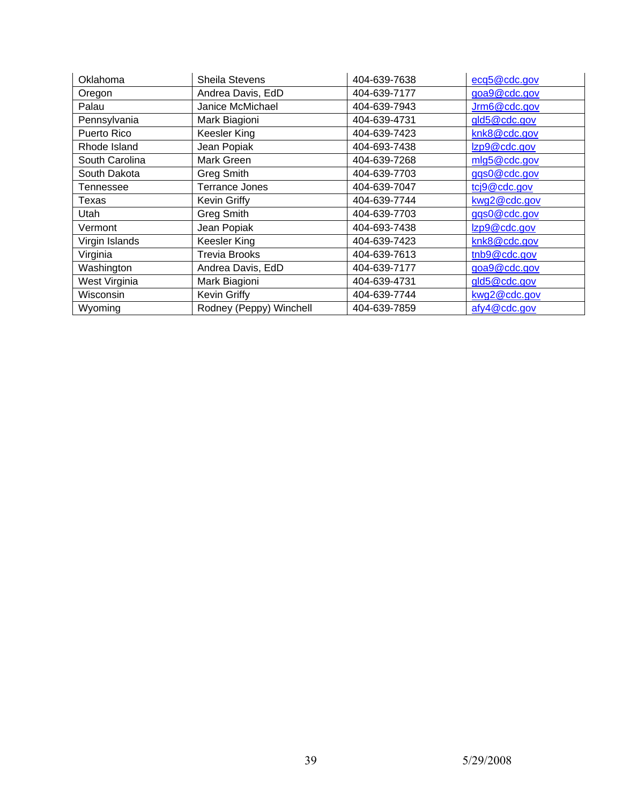| Oklahoma       | <b>Sheila Stevens</b>   | 404-639-7638 | ecq5@cdc.gov |
|----------------|-------------------------|--------------|--------------|
| Oregon         | Andrea Davis, EdD       | 404-639-7177 | goa9@cdc.gov |
| Palau          | Janice McMichael        | 404-639-7943 | Jrm6@cdc.gov |
| Pennsylvania   | Mark Biagioni           | 404-639-4731 | gld5@cdc.gov |
| Puerto Rico    | Keesler King            | 404-639-7423 | knk8@cdc.gov |
| Rhode Island   | Jean Popiak             | 404-693-7438 | Izp9@cdc.gov |
| South Carolina | Mark Green              | 404-639-7268 | mlg5@cdc.gov |
| South Dakota   | <b>Greg Smith</b>       | 404-639-7703 | ggs0@cdc.gov |
| Tennessee      | Terrance Jones          | 404-639-7047 | tcj9@cdc.gov |
| Texas          | Kevin Griffy            | 404-639-7744 | kwg2@cdc.gov |
| Utah           | Greg Smith              | 404-639-7703 | ggs0@cdc.gov |
| Vermont        | Jean Popiak             | 404-693-7438 | Izp9@cdc.gov |
| Virgin Islands | Keesler King            | 404-639-7423 | knk8@cdc.gov |
| Virginia       | <b>Trevia Brooks</b>    | 404-639-7613 | tnb9@cdc.gov |
| Washington     | Andrea Davis, EdD       | 404-639-7177 | goa9@cdc.gov |
| West Virginia  | Mark Biagioni           | 404-639-4731 | gld5@cdc.gov |
| Wisconsin      | <b>Kevin Griffy</b>     | 404-639-7744 | kwg2@cdc.gov |
| Wyoming        | Rodney (Peppy) Winchell | 404-639-7859 | afy4@cdc.gov |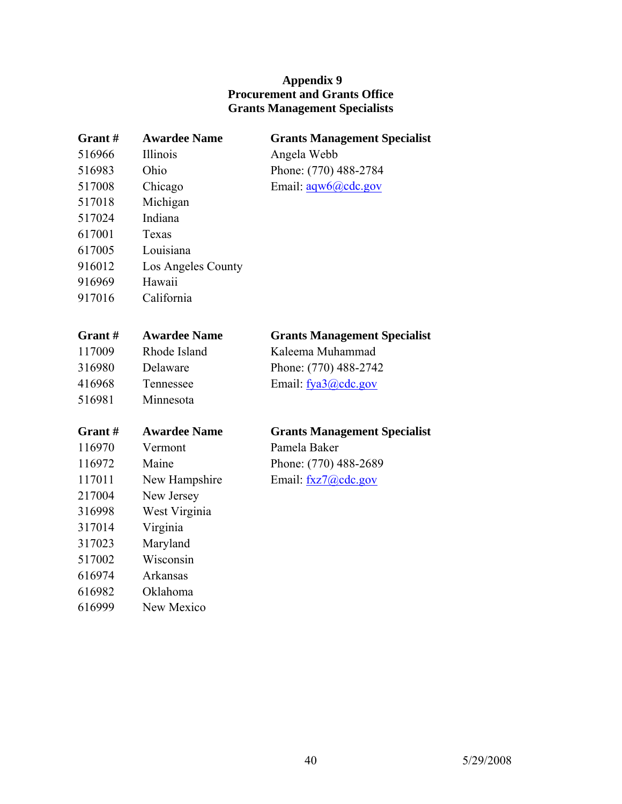## **Appendix 9 Procurement and Grants Office Grants Management Specialists**

| Grant# | <b>Awardee Name</b> | <b>Grants Management Specialist</b> |
|--------|---------------------|-------------------------------------|
| 516966 | Illinois            | Angela Webb                         |
| 516983 | Ohio                | Phone: (770) 488-2784               |
| 517008 | Chicago             | Email: $aaw6$ (a) cdc.gov           |
| 517018 | Michigan            |                                     |
| 517024 | Indiana             |                                     |
| 617001 | Texas               |                                     |
| 617005 | Louisiana           |                                     |
| 916012 | Los Angeles County  |                                     |
| 916969 | Hawaii              |                                     |
| 917016 | California          |                                     |
|        |                     |                                     |
| Grant# | <b>Awardee Name</b> | <b>Grants Management Specialist</b> |
| 117009 | Rhode Island        | Kaleema Muhammad                    |
| 316980 | Delaware            | Phone: (770) 488-2742               |
| 416968 | Tennessee           | Email: fya3@cdc.gov                 |
| 516981 | Minnesota           |                                     |
|        |                     |                                     |
| Grant# | <b>Awardee Name</b> | <b>Grants Management Specialist</b> |
| 116970 | Vermont             | Pamela Baker                        |
| 116972 | Maine               | Phone: (770) 488-2689               |
| 117011 | New Hampshire       | Email: fxz7@cdc.gov                 |
| 217004 | New Jersey          |                                     |
| 316998 | West Virginia       |                                     |
| 317014 | Virginia            |                                     |
| 317023 | Maryland            |                                     |
| 517002 | Wisconsin           |                                     |
| 616974 | Arkansas            |                                     |
| 616982 | Oklahoma            |                                     |
| 616999 | New Mexico          |                                     |